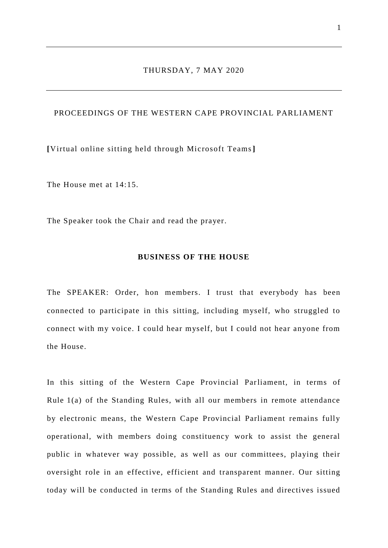# THURSDAY, 7 MAY 2020

# PROCEEDINGS OF THE WESTERN CAPE PROVINCIAL PARLIAMENT

**[**Virtual online sitting held through Microsoft Teams**]**

The House met at 14:15.

The Speaker took the Chair and read the prayer.

#### **BUSINESS OF THE HOUSE**

The SPEAKER: Order, hon members. I trust that everybody has been connected to participate in this sitting, including myself, who struggled to connect with my voice. I could hear myself, but I could not hear anyone from the House.

In this sitting of the Western Cape Provincial Parliament, in terms of Rule 1(a) of the Standing Rules, with all our members in remote attendance by electronic means, the Western Cape Provincial Parliament remains fully operational, with members doing constituency work to assist the general public in whatever way possible, as well as our committees, playing their oversight role in an effective, efficient and transparent manner. Our sitting today will be conducted in terms of the Standing Rules and directives issued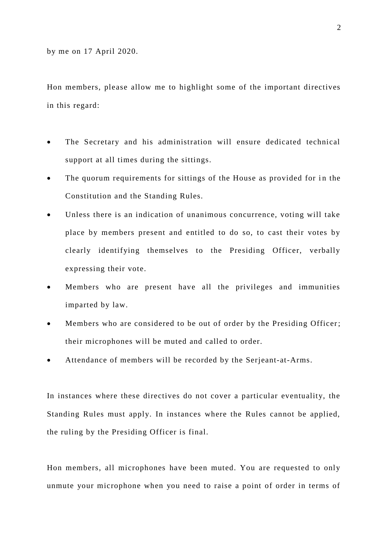Hon members, please allow me to highlight some of the important directives in this regard:

- The Secretary and his administration will ensure dedicated technical support at all times during the sittings.
- The quorum requirements for sittings of the House as provided for in the Constitution and the Standing Rules.
- Unless there is an indication of unanimous concurrence, voting will take place by members present and entitled to do so, to cast their votes by clearly identifying themselves to the Presiding Officer, verbally expressing their vote.
- Members who are present have all the privileges and immunities imparted by law.
- Members who are considered to be out of order by the Presiding Officer; their microphones will be muted and called to order.
- Attendance of members will be recorded by the Serjeant-at-Arms.

In instances where these directives do not cover a particular eventuality, the Standing Rules must apply. In instances where the Rules cannot be applied, the ruling by the Presiding Officer is final.

Hon members, all microphones have been muted. You are requested to only unmute your microphone when you need to raise a point of order in terms of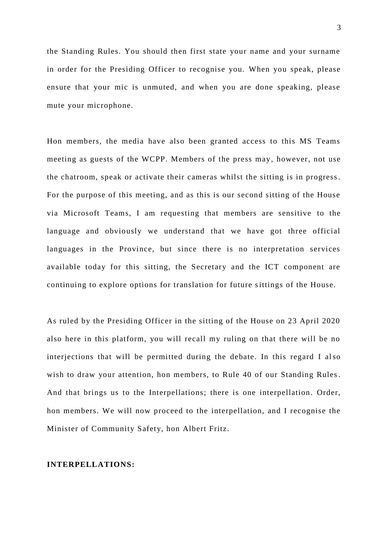the Standing Rules. You should then first state your name and your surname in order for the Presiding Officer to recognise you. When you speak, please ensure that your mic is unmuted, and when you are done speaking, please mute your microphone.

Hon members, the media have also been granted access to this MS Teams meeting as guests of the WCPP. Members of the press may, however, not use the chatroom, speak or activate their cameras whilst the sitting is in progress. For the purpose of this meeting, and as this is our second sitting of the House via Microsoft Teams, I am requesting that members are sensitive to the language and obviously we understand that we have got three official languages in the Province, but since there is no interpretation services available today for this sitting, the Secretary and the ICT component are continuing to explore options for translation for future sittings of the House.

As ruled by the Presiding Officer in the sitting of the House on 23 April 2020 also here in this platform, you will recall my ruling on that there will be no interjections that will be permitted during the debate. In this regard I also wish to draw your attention, hon members, to Rule 40 of our Standing Rules. And that brings us to the Interpellations; there is one interpellation. Order, hon members. We will now proceed to the interpellation, and I recognise the Minister of Community Safety, hon Albert Fritz.

#### **INTERPELLATIONS:**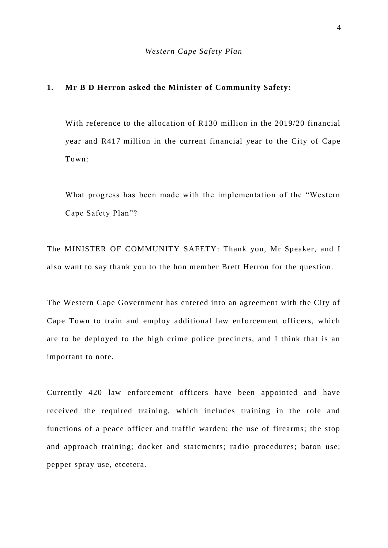#### **1. Mr B D Herron asked the Minister of Community Safety:**

With reference to the allocation of R130 million in the 2019/20 financial year and R417 million in the current financial year to the City of Cape Town:

What progress has been made with the implementation of the "Western Cape Safety Plan"?

The MINISTER OF COMMUNITY SAFETY: Thank you, Mr Speaker, and I also want to say thank you to the hon member Brett Herron for the question.

The Western Cape Government has entered into an agreement with the City of Cape Town to train and employ additional law enforcement officers, which are to be deployed to the high crime police precincts, and I think that is an important to note.

Currently 420 law enforcement officers have been appointed and have received the required training, which includes training in the role and functions of a peace officer and traffic warden; the use of firearms; the stop and approach training; docket and statements; ra dio procedures; baton use; pepper spray use, etcetera.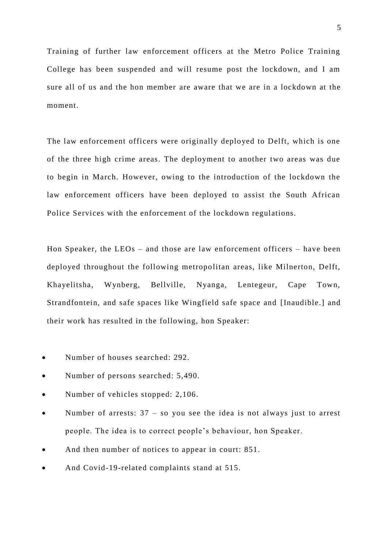Training of further law enforcement officers at the Metro Police Training College has been suspended and will resume post the lockdown, and I am sure all of us and the hon member are aware that we are in a lockdown at the moment.

The law enforcement officers were originally deployed to Delft, which is one of the three high crime areas. The deployment to another two areas was due to begin in March. However, owing to the introduction of the lockdown the law enforcement officers have been deployed to assist the South African Police Services with the enforcement of the lockdown regulations.

Hon Speaker, the LEOs – and those are law enforcement officers – have been deployed throughout the following metropolitan areas, like Milnerton, Delft, Khayelitsha, Wynberg, Bellville, Nyanga, Lentegeur, Cape Town, Strandfontein, and safe spaces like Wingfield safe space and [Inaudible.] and their work has resulted in the following, hon Speaker:

- Number of houses searched: 292.
- Number of persons searched: 5,490.
- Number of vehicles stopped: 2,106.
- Number of arrests: 37 so you see the idea is not always just to arrest people. The idea is to correct people's behaviour, hon Speaker.
- And then number of notices to appear in court: 851.
- And Covid-19-related complaints stand at 515.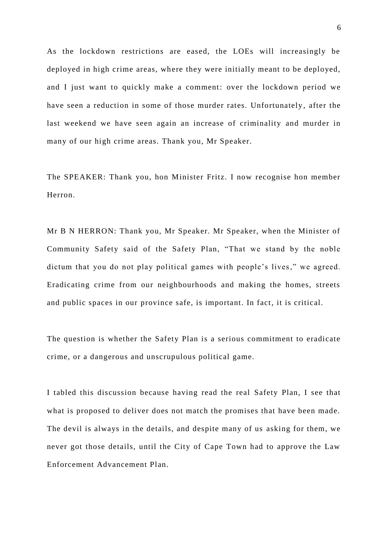As the lockdown restrictions are eased, the LOEs will increasingly be deployed in high crime areas, where they were initially meant to be deployed, and I just want to quickly make a comment: over the lockdown period we have seen a reduction in some of those murder rates. Unfortunately, after the last weekend we have seen again an increase of criminality and murder in many of our high crime areas. Thank you, Mr Speaker.

The SPEAKER: Thank you, hon Minister Fritz. I now recognise hon member Herron.

Mr B N HERRON: Thank you, Mr Speaker. Mr Speaker, when the Minister of Community Safety said of the Safety Plan, "That we stand by the noble dictum that you do not play political games with people's lives," we agreed. Eradicating crime from our neighbourhoods and making the homes, streets and public spaces in our province safe, is important. In fact, it is critical.

The question is whether the Safety Plan is a serious commitment to eradicate crime, or a dangerous and unscrupulous political game.

I tabled this discussion because having read the real Safety Plan, I see that what is proposed to deliver does not match the promises that have been made. The devil is always in the details, and despite many of us asking for them, we never got those details, until the City of Cape Town had to approve the Law Enforcement Advancement Plan.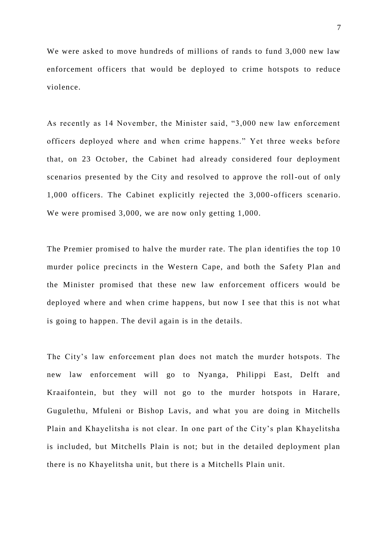We were asked to move hundreds of millions of rands to fund 3,000 new law enforcement officers that would be deployed to crime hotspots to reduce violence.

As recently as 14 November, the Minister said, "3,000 new law enforcement officers deployed where and when crime happens." Yet three weeks before that, on 23 October, the Cabinet had already considered four deployment scenarios presented by the City and resolved to approve the roll-out of only 1,000 officers. The Cabinet explicitly rejected the 3,000 -officers scenario. We were promised 3,000, we are now only getting 1,000.

The Premier promised to halve the murder rate. The plan identifies the top 10 murder police precincts in the Western Cape, and both the Safety Plan and the Minister promised that these new law enforcement officers would be deployed where and when crime happens, but now I see that this is not what is going to happen. The devil again is in the details.

The City's law enforcement plan does not match the murder hotspots. The new law enforcement will go to Nyanga, Philippi East, Delft and Kraaifontein, but they will not go to the murder hotspots in Harare, Gugulethu, Mfuleni or Bishop Lavis, and what you are doing in Mitchells Plain and Khayelitsha is not clear. In one part of the City's plan Khayelitsha is included, but Mitchells Plain is not; but in the detailed deployment plan there is no Khayelitsha unit, but there is a Mitchells Plain unit.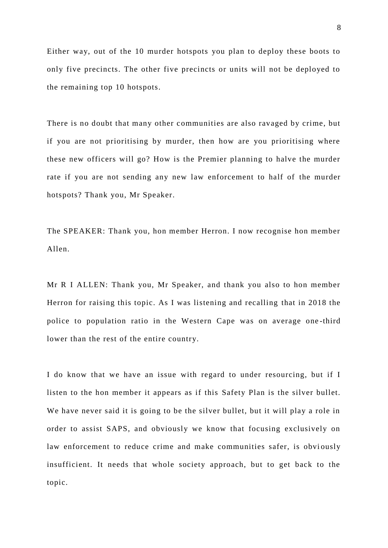Either way, out of the 10 murder hotspots you plan to deploy these boots to only five precincts. The other five precincts or units will not be deployed to the remaining top 10 hotspots.

There is no doubt that many other communities are also ravaged by crime, but if you are not prioritising by murder, then how are you prioritising where these new officers will go? How is the Premier planning to halve the murder rate if you are not sending any new law enforcement to half of the murder hotspots? Thank you, Mr Speaker.

The SPEAKER: Thank you, hon member Herron. I now recognise hon member Allen.

Mr R I ALLEN: Thank you, Mr Speaker, and thank you also to hon member Herron for raising this topic. As I was listening and recalling that in 2018 the police to population ratio in the Western Cape was on average one -third lower than the rest of the entire country.

I do know that we have an issue with regard to under resourcing, but if I listen to the hon member it appears as if this Safety Plan is the silver bullet. We have never said it is going to be the silver bullet, but it will play a role in order to assist SAPS, and obviously we know that focusing exclusively on law enforcement to reduce crime and make communities safer, is obviously insufficient. It needs that whole society approach, but to get back to the topic.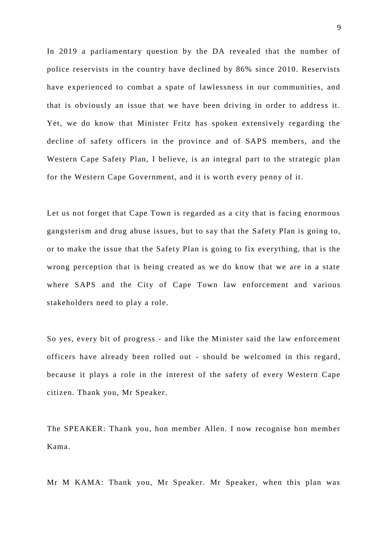In 2019 a parliamentary question by the DA revealed that the number of police reservists in the country have declined by 86% since 2010. Reservists have experienced to combat a spate of lawlessness in our communities, and that is obviously an issue that we have been driving in order to address it. Yet, we do know that Minister Fritz has spoken extensively regarding the decline of safety officers in the province and of SAPS members, and the Western Cape Safety Plan, I believe, is an integral part to the strategic plan for the Western Cape Government, and it is worth every penny of it.

Let us not forget that Cape Town is regarded as a city that is facing enormous gangsterism and drug abuse issues, but to say that the Safety Plan is going to, or to make the issue that the Safety Plan is going to fix everything, that is the wrong perception that is being created as we do know that we are in a state where SAPS and the City of Cape Town law enforcement and various stakeholders need to play a role.

So yes, every bit of progress - and like the Minister said the law enforcement officers have already been rolled out - should be welcomed in this regard, because it plays a role in the interest of the safety of every Western Cape citizen. Thank you, Mr Speaker.

The SPEAKER: Thank you, hon member Allen. I now recognise hon member Kama.

Mr M KAMA: Thank you, Mr Speaker. Mr Speaker, when this plan was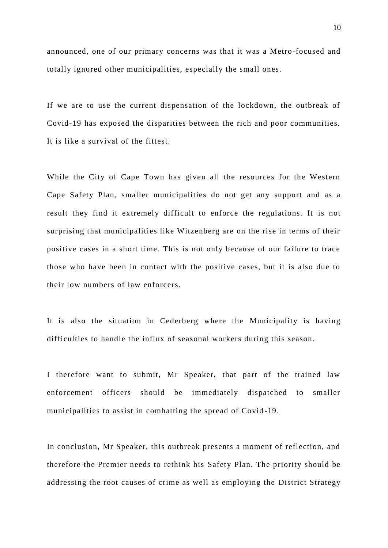announced, one of our primary concerns was that it was a Metro-focused and totally ignored other municipalities, especially the small ones.

If we are to use the current dispensation of the lockdown, the outbreak of Covid-19 has exposed the disparities between the rich and poor communities. It is like a survival of the fittest.

While the City of Cape Town has given all the resources for the Western Cape Safety Plan, smaller municipalities do not get any support and as a result they find it extremely difficult to enforce the regulations. It is not surprising that municipalities like Witzenberg are on the rise in terms of their positive cases in a short time. This is not only because of our failure to trace those who have been in contact with the positive cases, but it is also due to their low numbers of law enforcers.

It is also the situation in Cederberg where the Municipality is having difficulties to handle the influx of seasonal workers during this season.

I therefore want to submit, Mr Speaker, that part of the trained law enforcement officers should be immediately dispatched to smaller municipalities to assist in combatting the spread of Covid -19.

In conclusion, Mr Speaker, this outbreak presents a moment of reflection, and therefore the Premier needs to rethink his Safety Plan. The priority should be addressing the root causes of crime as well as employing the District Strategy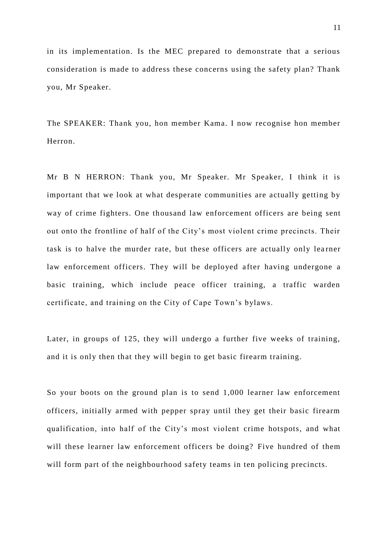in its implementation. Is the MEC prepared to demonstrate that a serious consideration is made to address these concerns using the safety plan? Thank you, Mr Speaker.

The SPEAKER: Thank you, hon member Kama. I now recognise hon member Herron.

Mr B N HERRON: Thank you, Mr Speaker. Mr Speaker, I think it is important that we look at what desperate communities are actually getting by way of crime fighters. One thousand law enforcement officers are being sent out onto the frontline of half of the City's most violent crime precincts. Their task is to halve the murder rate, but these officers are actually only learner law enforcement officers. They will be deployed after having undergone a basic training, which include peace officer training, a traffic warden certificate, and training on the City of Cape Town's bylaws.

Later, in groups of 125, they will undergo a further five weeks of training, and it is only then that they will begin to get basic firearm training.

So your boots on the ground plan is to send 1,000 learner law enforcement officers, initially armed with pepper spray until they get their basic firearm qualification, into half of the City's most violent crime hotspots, and what will these learner law enforcement officers be doing? Five hundred of them will form part of the neighbourhood safety teams in ten policing precincts.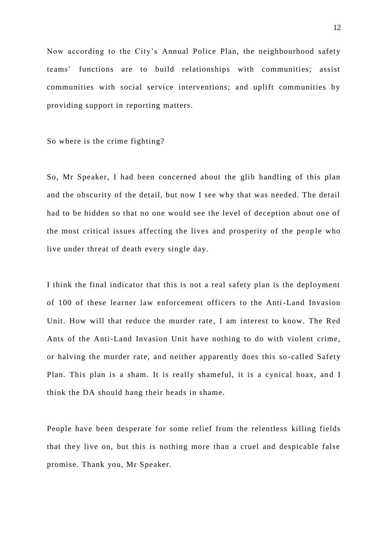Now according to the City's Annual Police Plan, the neighbourhood safety teams' functions are to build relationships with communities; assist communities with social service interventions; and uplift communities by providing support in reporting matters.

So where is the crime fighting?

So, Mr Speaker, I had been concerned about the glib handling of this plan and the obscurity of the detail, but now I see why that was needed. The detail had to be hidden so that no one would see the level of deception about one of the most critical issues affecting the lives and prosperity of the people who live under threat of death every single day.

I think the final indicator that this is not a real safety plan is the deployment of 100 of these learner law enforcement officers to the Anti-Land Invasion Unit. How will that reduce the murder rate, I am interest to know. The Red Ants of the Anti-Land Invasion Unit have nothing to do with violent crime, or halving the murder rate, and neither apparently does this so -called Safety Plan. This plan is a sham. It is really shameful, it is a cynical hoax, and I think the DA should hang their heads in shame.

People have been desperate for some relief from the relentless killing fields that they live on, but this is nothing more than a cruel and despicable false promise. Thank you, Mr Speaker.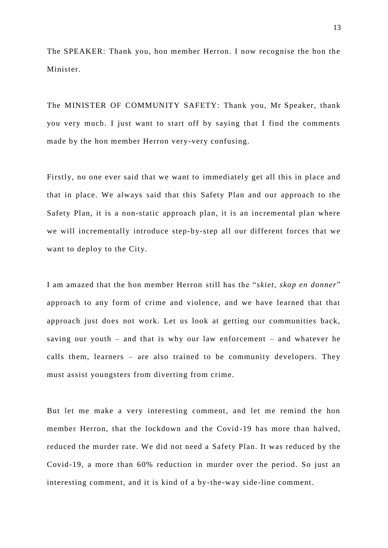The SPEAKER: Thank you, hon member Herron. I now recognise the hon the Minister.

The MINISTER OF COMMUNITY SAFETY: Thank you, Mr Speaker, thank you very much. I just want to start off by saying that I find the comments made by the hon member Herron very-very confusing.

Firstly, no one ever said that we want to immediately get all this in place and that in place. We always said that this Safety Plan and our approach to the Safety Plan, it is a non-static approach plan, it is an incremental plan where we will incrementally introduce step-by-step all our different forces that we want to deploy to the City.

I am amazed that the hon member Herron still has the "*skiet, skop en donner*" approach to any form of crime and violence, and we have learned that that approach just does not work. Let us look at getting our communities back, saving our youth – and that is why our law enforcement – and whatever he calls them, learners – are also trained to be community developers. They must assist youngsters from diverting from crime.

But let me make a very interesting comment, and let me remind the hon member Herron, that the lockdown and the Covid -19 has more than halved, reduced the murder rate. We did not need a Safety Plan. It was reduced by the Covid-19, a more than 60% reduction in murder over the period. So just an interesting comment, and it is kind of a by-the-way side-line comment.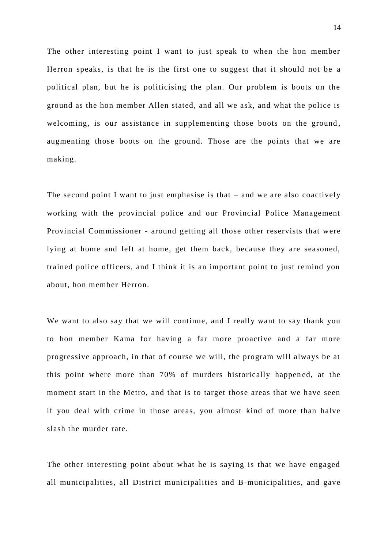The other interesting point I want to just speak to when the hon member Herron speaks, is that he is the first one to suggest that it should not be a political plan, but he is politicising the plan. Our problem is boots on the ground as the hon member Allen stated, and all we ask, and what the police is welcoming, is our assistance in supplementing those boots on the ground, augmenting those boots on the ground. Those are the points that we are making.

The second point I want to just emphasise is that – and we are also coactively working with the provincial police and our Provincial Police Management Provincial Commissioner - around getting all those other reservists that were lying at home and left at home, get them back, because they are seasoned, trained police officers, and I think it is an important point to just remind you about, hon member Herron.

We want to also say that we will continue, and I really want to say thank you to hon member Kama for having a far more proactive and a far more progressive approach, in that of course we will, the program will always be at this point where more than 70% of murders historically happen ed, at the moment start in the Metro, and that is to target those areas that we have seen if you deal with crime in those areas, you almost kind of more than halve slash the murder rate.

The other interesting point about what he is saying is that we have engaged all municipalities, all District municipalities and B-municipalities, and gave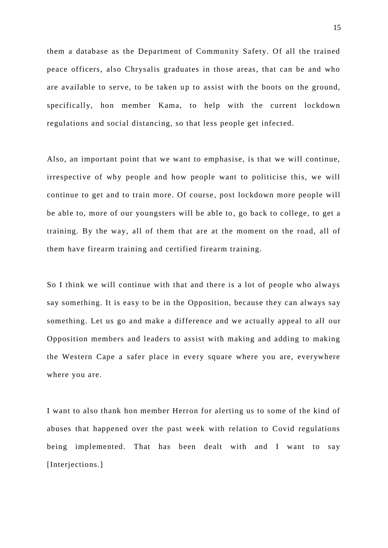them a database as the Department of Community Safety. Of all the trained peace officers, also Chrysalis graduates in those areas, that can be and who are available to serve, to be taken up to assist with the boots on the ground, specifically, hon member Kama, to help with the current lockdown regulations and social distancing, so that less people get infected.

Also, an important point that we want to emphasise, is that we will continue, irrespective of why people and how people want to politicise this, we will continue to get and to train more. Of course, post lockdown more people will be able to, more of our youngsters will be able to, go back to college, to get a training. By the way, all of them that are at the moment on the road, all of them have firearm training and certified firearm training.

So I think we will continue with that and there is a lot of people who always say something. It is easy to be in the Opposition, because they can always say something. Let us go and make a difference and we actually appeal to all our Opposition members and leaders to assist with making and adding to making the Western Cape a safer place in every square where you are, everywhere where you are.

I want to also thank hon member Herron for alerting us to some of the kind of abuses that happened over the past week with relation to Covid regulations being implemented. That has been dealt with and I want to say [Interjections.]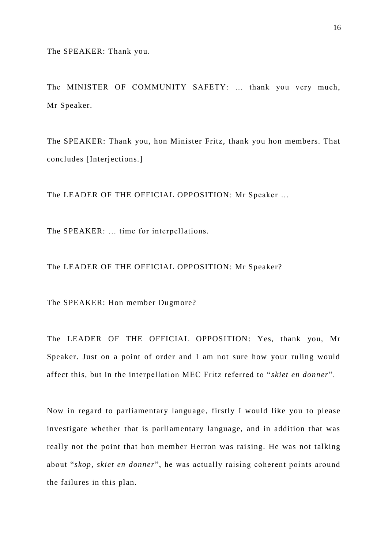The SPEAKER: Thank you.

The MINISTER OF COMMUNITY SAFETY: … thank you very much, Mr Speaker.

The SPEAKER: Thank you, hon Minister Fritz, thank you hon members. That concludes [Interjections.]

The LEADER OF THE OFFICIAL OPPOSITION: Mr Speaker …

The SPEAKER: ... time for interpellations.

The LEADER OF THE OFFICIAL OPPOSITION: Mr Speaker?

The SPEAKER: Hon member Dugmore?

The LEADER OF THE OFFICIAL OPPOSITION: Yes, thank you, Mr Speaker. Just on a point of order and I am not sure how your ruling would affect this, but in the interpellation MEC Fritz referred to "*skiet en donner*".

Now in regard to parliamentary language, firstly I would like you to please investigate whether that is parliamentary language, and in addition that was really not the point that hon member Herron was raising. He was not talking about "*skop, skiet en donner*", he was actually raising coherent points around the failures in this plan.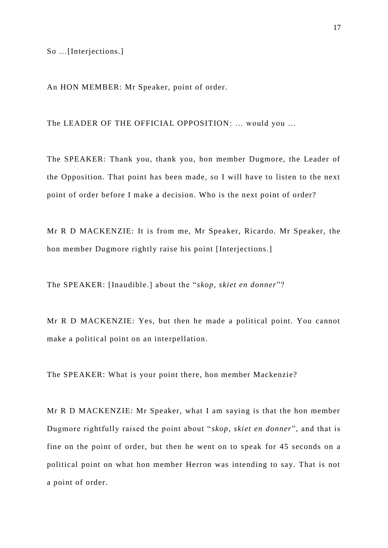So …[Interjections.]

An HON MEMBER: Mr Speaker, point of order.

The LEADER OF THE OFFICIAL OPPOSITION: … would you …

The SPEAKER: Thank you, thank you, hon member Dugmore, the Leader of the Opposition. That point has been made, so I will have to listen to the next point of order before I make a decision. Who is the next point of order?

Mr R D MACKENZIE: It is from me, Mr Speaker, Ricardo. Mr Speaker, the hon member Dugmore rightly raise his point [Interjections.]

The SPEAKER: [Inaudible.] about the "*skop, skiet en donner*"?

Mr R D MACKENZIE: Yes, but then he made a political point. You cannot make a political point on an interpellation.

The SPEAKER: What is your point there, hon member Mackenzie?

Mr R D MACKENZIE: Mr Speaker, what I am saying is that the hon member Dugmore rightfully raised the point about " *skop, skiet en donner*", and that is fine on the point of order, but then he went on to speak for 45 seconds on a political point on what hon member Herron was intending to say. That is not a point of order.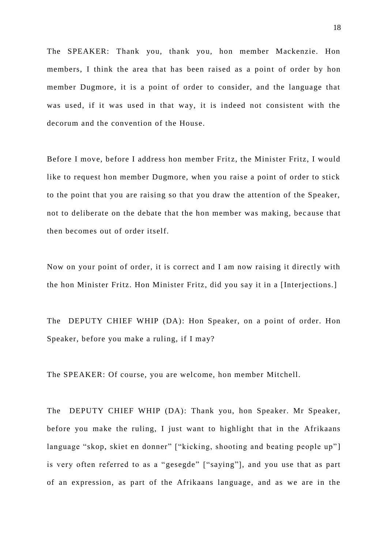The SPEAKER: Thank you, thank you, hon member Mackenzie. Hon members, I think the area that has been raised as a point of order by hon member Dugmore, it is a point of order to consider, and the language that was used, if it was used in that way, it is indeed not consistent with the decorum and the convention of the House.

Before I move, before I address hon member Fritz, the Minister Fritz, I would like to request hon member Dugmore, when you raise a point of order to stick to the point that you are raising so that you draw the attention of the Speaker, not to deliberate on the debate that the hon member was making, bec ause that then becomes out of order itself.

Now on your point of order, it is correct and I am now raising it directly with the hon Minister Fritz. Hon Minister Fritz, did you say it in a [Interjections.]

The DEPUTY CHIEF WHIP (DA): Hon Speaker, on a point of order. Hon Speaker, before you make a ruling, if I may?

The SPEAKER: Of course, you are welcome, hon member Mitchell.

The DEPUTY CHIEF WHIP (DA): Thank you, hon Speaker. Mr Speaker, before you make the ruling, I just want to highlight that in the Afrikaans language "skop, skiet en donner" ["kicking, shooting and beating people up"] is very often referred to as a "gesegde" ["saying"], and you use that as part of an expression, as part of the Afrikaans language, and as we are in the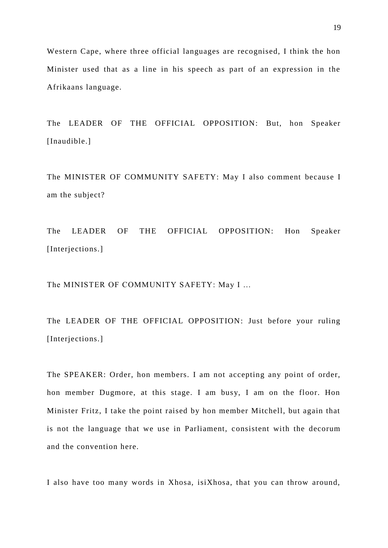Western Cape, where three official languages are recognised, I think the hon Minister used that as a line in his speech as part of an expression in the Afrikaans language.

The LEADER OF THE OFFICIAL OPPOSITION: But, hon Speaker [Inaudible.]

The MINISTER OF COMMUNITY SAFETY: May I also comment because I am the subject?

The LEADER OF THE OFFICIAL OPPOSITION: Hon Speaker [Interjections.]

The MINISTER OF COMMUNITY SAFETY: May I …

The LEADER OF THE OFFICIAL OPPOSITION: Just before your ruling [Interjections.]

The SPEAKER: Order, hon members. I am not accepting any point of order, hon member Dugmore, at this stage. I am busy, I am on the floor. Hon Minister Fritz, I take the point raised by hon member Mitchell, but again that is not the language that we use in Parliament, consistent with the decorum and the convention here.

I also have too many words in Xhosa, isiXhosa, that you can throw around,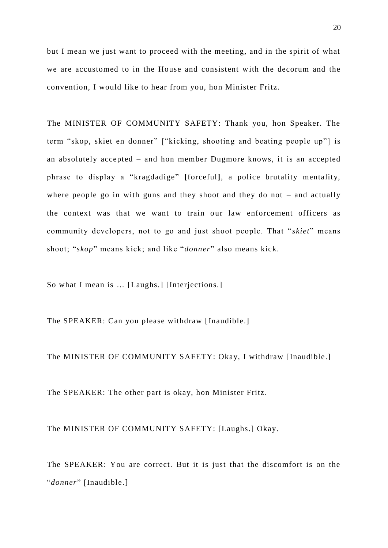but I mean we just want to proceed with the meeting, and in the spirit of what we are accustomed to in the House and consistent with the decorum and the convention, I would like to hear from you, hon Minister Fritz.

The MINISTER OF COMMUNITY SAFETY: Thank you, hon Speaker. The term "skop, skiet en donner" ["kicking, shooting and beating people up"] is an absolutely accepted – and hon member Dugmore knows, it is an accepted phrase to display a "kragdadige" **[**forceful**]**, a police brutality mentality, where people go in with guns and they shoot and they do not – and actually the context was that we want to train our law enforcement officers as community developers, not to go and just shoot people. That " *skiet*" means shoot; "*skop*" means kick; and like "*donner*" also means kick.

So what I mean is … [Laughs.] [Interjections.]

The SPEAKER: Can you please withdraw [Inaudible.]

The MINISTER OF COMMUNITY SAFETY: Okay, I withdraw [Inaudible.]

The SPEAKER: The other part is okay, hon Minister Fritz.

The MINISTER OF COMMUNITY SAFETY: [Laughs.] Okay.

The SPEAKER: You are correct. But it is just that the discomfort is on the "*donner*" [Inaudible.]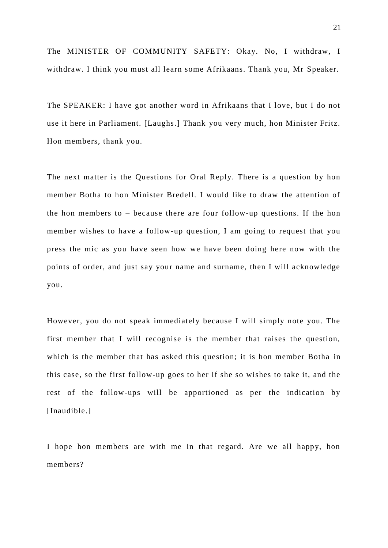The MINISTER OF COMMUNITY SAFETY: Okay. No, I withdraw, I withdraw. I think you must all learn some Afrikaans. Thank you, Mr Speaker.

The SPEAKER: I have got another word in Afrikaans that I love, but I do not use it here in Parliament. [Laughs.] Thank you very much, hon Minister Fritz. Hon members, thank you.

The next matter is the Questions for Oral Reply. There is a question by hon member Botha to hon Minister Bredell. I would like to draw the attention of the hon members to – because there are four follow-up questions. If the hon member wishes to have a follow-up question, I am going to request that you press the mic as you have seen how we have been doing here now with the points of order, and just say your name and surname, then I will acknowledge you.

However, you do not speak immediately because I will simply note you. The first member that I will recognise is the member that raises the question, which is the member that has asked this question; it is hon member Botha in this case, so the first follow-up goes to her if she so wishes to take it, and the rest of the follow-ups will be apportioned as per the indication by [Inaudible.]

I hope hon members are with me in that regard. Are we all happy, hon members?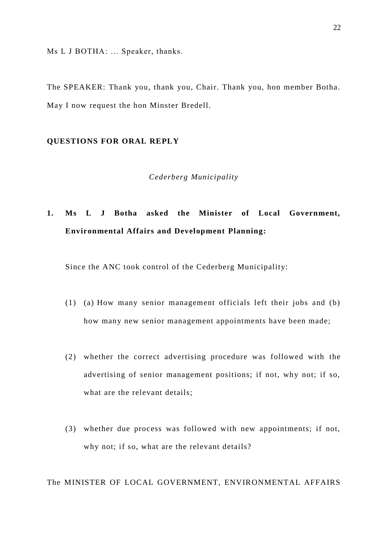Ms L J BOTHA: … Speaker, thanks.

The SPEAKER: Thank you, thank you, Chair. Thank you, hon member Botha. May I now request the hon Minster Bredell.

#### **QUESTIONS FOR ORAL REPLY**

#### *Cederberg Municipality*

# **1. Ms L J Botha asked the Minister of Local Government, Environmental Affairs and Development Planning:**

Since the ANC took control of the Cederberg Municipality:

- (1) (a) How many senior management officials left their jobs and (b) how many new senior management appointments have been made;
- (2) whether the correct advertising procedure was followed with the advertising of senior management positions; if not, why not; if so, what are the relevant details;
- (3) whether due process was followed with new appointments; if not, why not; if so, what are the relevant details?

The MINISTER OF LOCAL GOVERNMENT, ENVIRONMENTAL AFFAIRS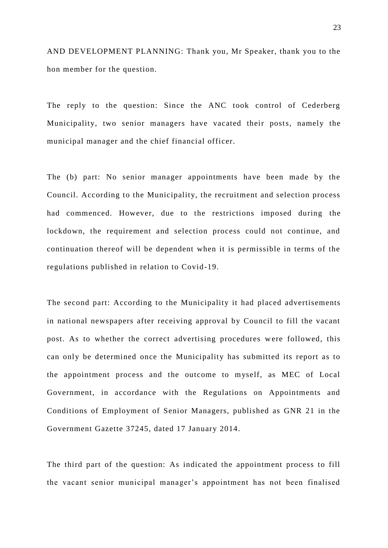AND DEVELOPMENT PLANNING: Thank you, Mr Speaker, thank you to the hon member for the question.

The reply to the question: Since the ANC took control of Cederberg Municipality, two senior managers have vacated their posts, namely the municipal manager and the chief financial officer.

The (b) part: No senior manager appointments have been made by the Council. According to the Municipality, the recruitment and selection process had commenced. However, due to the restrictions imposed during the lockdown, the requirement and selection process could not continue, and continuation thereof will be dependent when it is permissible in terms of the regulations published in relation to Covid-19.

The second part: According to the Municipality it had placed advertisements in national newspapers after receiving approval by Council to fill the vacant post. As to whether the correct advertising procedures were followed, this can only be determined once the Municipality has submitted its report as to the appointment process and the outcome to myself, as MEC of Local Government, in accordance with the Regulations on Appointments and Conditions of Employment of Senior Managers, published as GNR 21 in the Government Gazette 37245, dated 17 January 2014.

The third part of the question: As indicated the appointment process to fill the vacant senior municipal manager's appointment has not been finalised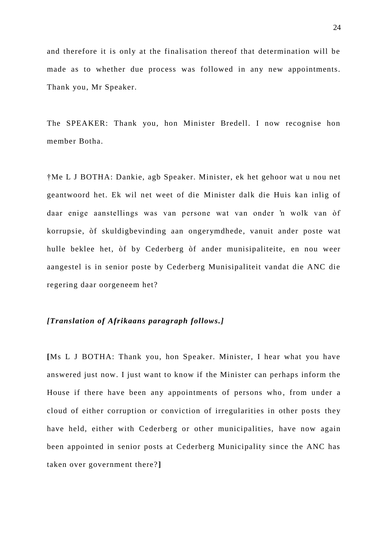and therefore it is only at the finalisation thereof that determination will be made as to whether due process was followed in any new appointments. Thank you, Mr Speaker.

The SPEAKER: Thank you, hon Minister Bredell. I now recognise hon member Botha.

†Me L J BOTHA: Dankie, agb Speaker. Minister, ek het gehoor wat u nou net geantwoord het. Ek wil net weet of die Minister dalk die Huis kan inlig of daar enige aanstellings was van persone wat van onder 'n wolk van òf korrupsie, òf skuldigbevinding aan ongerymdhede, vanuit ander poste wat hulle beklee het, òf by Cederberg òf ander munisipaliteite, en nou weer aangestel is in senior poste by Cederberg Munisipaliteit vandat die ANC die regering daar oorgeneem het?

#### *[Translation of Afrikaans paragraph follows.]*

**[**Ms L J BOTHA: Thank you, hon Speaker. Minister, I hear what you have answered just now. I just want to know if the Minister can perhaps inform the House if there have been any appointments of persons who, from under a cloud of either corruption or conviction of irregularities in other posts they have held, either with Cederberg or other municipalities, have now again been appointed in senior posts at Cederberg Municipality since the ANC has taken over government there? **]**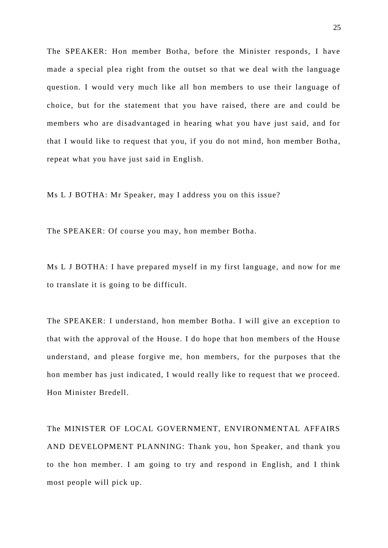The SPEAKER: Hon member Botha, before the Minister responds, I have made a special plea right from the outset so that we deal with the language question. I would very much like all hon members to use their language of choice, but for the statement that you have raised, there are and could be members who are disadvantaged in hearing what you have just said, and for that I would like to request that you, if you do not mind, hon member Botha, repeat what you have just said in English.

Ms L J BOTHA: Mr Speaker, may I address you on this issue?

The SPEAKER: Of course you may, hon member Botha.

Ms L J BOTHA: I have prepared myself in my first language, and now for me to translate it is going to be difficult.

The SPEAKER: I understand, hon member Botha. I will give an exception to that with the approval of the House. I do hope that hon members of the House understand, and please forgive me, hon members, for the purposes that the hon member has just indicated, I would really like to request that we proceed. Hon Minister Bredell.

The MINISTER OF LOCAL GOVERNMENT, ENVIRONMENTAL AFFAIRS AND DEVELOPMENT PLANNING: Thank you, hon Speaker, and thank you to the hon member. I am going to try and respond in English, and I think most people will pick up.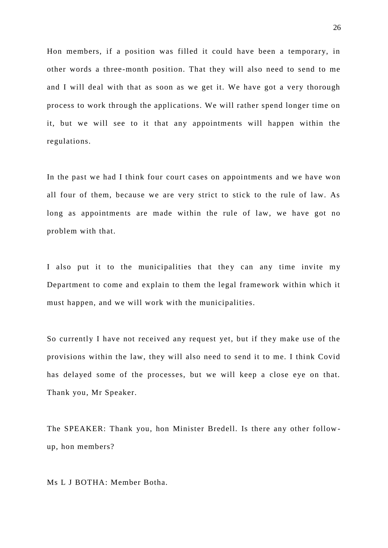Hon members, if a position was filled it could have been a temporary, in other words a three-month position. That they will also need to send to me and I will deal with that as soon as we get it. We have got a very thorough process to work through the applications. We will rather spend longer time on it, but we will see to it that any appointments will happen within the regulations.

In the past we had I think four court cases on appointments and we have won all four of them, because we are very strict to stick to the rule of law. As long as appointments are made within the rule of law, we have got no problem with that.

I also put it to the municipalities that they can any time invite my Department to come and explain to them the legal framework within which it must happen, and we will work with the municipalities.

So currently I have not received any request yet, but if they make use of the provisions within the law, they will also need to send it to me. I think Covid has delayed some of the processes, but we will keep a close eye on that. Thank you, Mr Speaker.

The SPEAKER: Thank you, hon Minister Bredell. Is there any other follow up, hon members?

Ms L J BOTHA: Member Botha.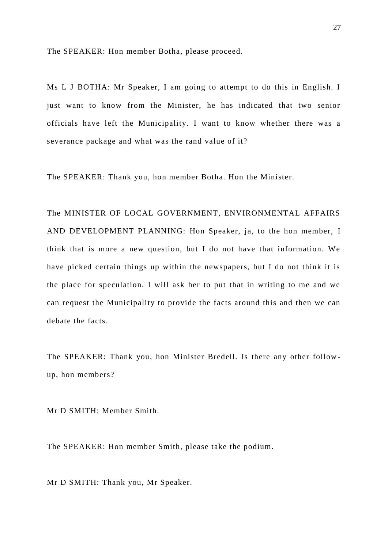The SPEAKER: Hon member Botha, please proceed.

Ms L J BOTHA: Mr Speaker, I am going to attempt to do this in English. I just want to know from the Minister, he has indicated that two senior officials have left the Municipality. I want to know whether there was a severance package and what was the rand value of it?

The SPEAKER: Thank you, hon member Botha. Hon the Minister.

The MINISTER OF LOCAL GOVERNMENT, ENVIRONMENTAL AFFAIRS AND DEVELOPMENT PLANNING: Hon Speaker, ja, to the hon member, I think that is more a new question, but I do not have that information. We have picked certain things up within the newspapers, but I do not think it is the place for speculation. I will ask her to put that in writing to me and we can request the Municipality to provide the facts around this and then we can debate the facts.

The SPEAKER: Thank you, hon Minister Bredell. Is there any other follow up, hon members?

Mr D SMITH: Member Smith.

The SPEAKER: Hon member Smith, please take the podium.

Mr D SMITH: Thank you, Mr Speaker.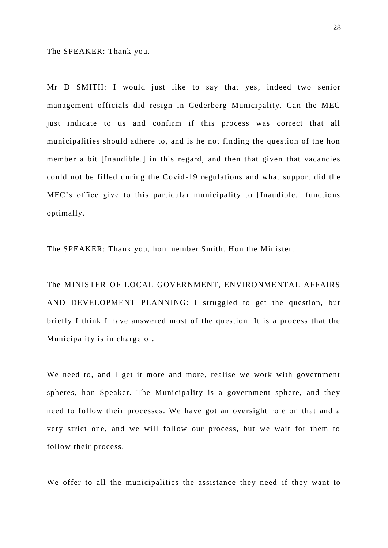The SPEAKER: Thank you.

Mr D SMITH: I would just like to say that yes, indeed two senior management officials did resign in Cederberg Municipality. Can the MEC just indicate to us and confirm if this process was correct that all municipalities should adhere to, and is he not finding the question of the hon member a bit [Inaudible.] in this regard, and then that given that vacancies could not be filled during the Covid -19 regulations and what support did the MEC's office give to this particular municipality to [Inaudible.] functions optimally.

The SPEAKER: Thank you, hon member Smith. Hon the Minister.

The MINISTER OF LOCAL GOVERNMENT, ENVIRONMENTAL AFFAIRS AND DEVELOPMENT PLANNING: I struggled to get the question, but briefly I think I have answered most of the question. It is a process that the Municipality is in charge of.

We need to, and I get it more and more, realise we work with government spheres, hon Speaker. The Municipality is a government sphere, and they need to follow their processes. We have got an oversight role on that and a very strict one, and we will follow our process, but we wait for them to follow their process.

We offer to all the municipalities the assistance they need if they want to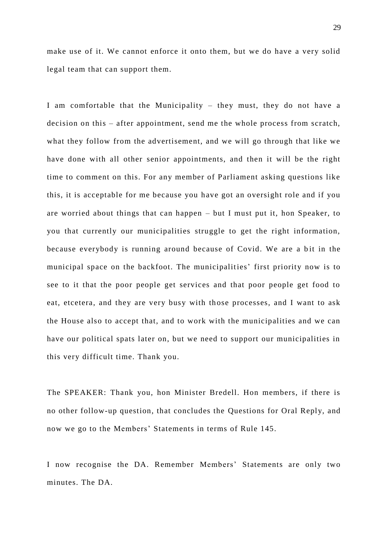make use of it. We cannot enforce it onto them, but we do have a very solid legal team that can support them.

I am comfortable that the Municipality – they must, they do not have a decision on this – after appointment, send me the whole process from scratch, what they follow from the advertisement, and we will go through that like we have done with all other senior appointments, and then it will be the right time to comment on this. For any member of Parliament asking questions like this, it is acceptable for me because you have got an oversight role and if you are worried about things that can happen – but I must put it, hon Speaker, to you that currently our municipalities struggle to get the right information, because everybody is running around because of Covid. We are a bit in the municipal space on the backfoot. The municipalities' first priority now is to see to it that the poor people get services and that poor people get food to eat, etcetera, and they are very busy with those processes, and I want to ask the House also to accept that, and to work with the municipalities and we can have our political spats later on, but we need to support our municipalities in this very difficult time. Thank you.

The SPEAKER: Thank you, hon Minister Bredell. Hon members, if there is no other follow-up question, that concludes the Questions for Oral Reply, and now we go to the Members' Statements in terms of Rule 145.

I now recognise the DA. Remember Members' Statements are only two minutes. The DA.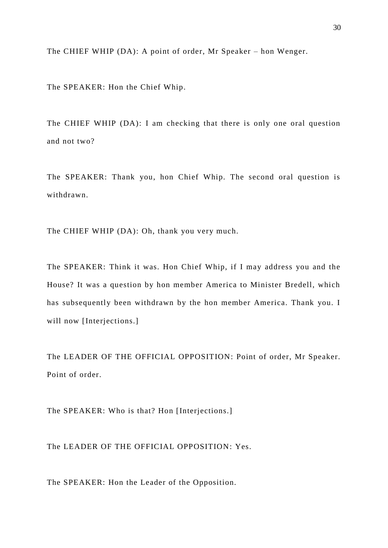The CHIEF WHIP (DA): A point of order, Mr Speaker – hon Wenger.

The SPEAKER: Hon the Chief Whip.

The CHIEF WHIP (DA): I am checking that there is only one oral question and not two?

The SPEAKER: Thank you, hon Chief Whip. The second oral question is withdrawn.

The CHIEF WHIP (DA): Oh, thank you very much.

The SPEAKER: Think it was. Hon Chief Whip, if I may address you and the House? It was a question by hon member America to Minister Bredell, which has subsequently been withdrawn by the hon member America. Thank you. I will now [Interjections.]

The LEADER OF THE OFFICIAL OPPOSITION: Point of order, Mr Speaker. Point of order.

The SPEAKER: Who is that? Hon [Interjections.]

The LEADER OF THE OFFICIAL OPPOSITION: Yes.

The SPEAKER: Hon the Leader of the Opposition.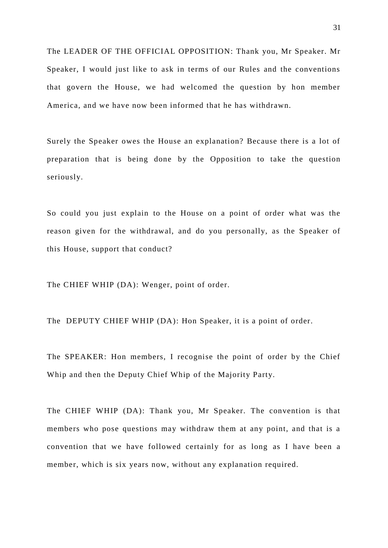The LEADER OF THE OFFICIAL OPPOSITION: Thank you, Mr Speaker. Mr Speaker, I would just like to ask in terms of our Rules and the conventions that govern the House, we had welcomed the question by hon member America, and we have now been informed that he has withdrawn.

Surely the Speaker owes the House an explanation? Because there is a lot of preparation that is being done by the Opposition to take the question seriously.

So could you just explain to the House on a point of order what was the reason given for the withdrawal, and do you personally, as the Speaker of this House, support that conduct?

The CHIEF WHIP (DA): Wenger, point of order.

The DEPUTY CHIEF WHIP (DA): Hon Speaker, it is a point of order.

The SPEAKER: Hon members, I recognise the point of order by the Chief Whip and then the Deputy Chief Whip of the Majority Party.

The CHIEF WHIP (DA): Thank you, Mr Speaker. The convention is that members who pose questions may withdraw them at any point, and that is a convention that we have followed certainly for as long as I have been a member, which is six years now, without any explanation required.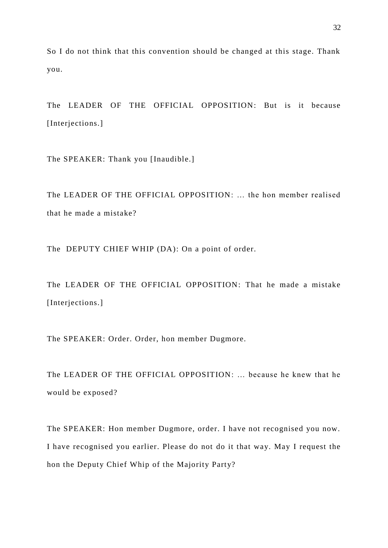So I do not think that this convention should be changed at this stage. Thank you.

The LEADER OF THE OFFICIAL OPPOSITION: But is it because [Interjections.]

The SPEAKER: Thank you [Inaudible.]

The LEADER OF THE OFFICIAL OPPOSITION: … the hon member realised that he made a mistake?

The DEPUTY CHIEF WHIP (DA): On a point of order.

The LEADER OF THE OFFICIAL OPPOSITION: That he made a mistake [Interjections.]

The SPEAKER: Order. Order, hon member Dugmore.

The LEADER OF THE OFFICIAL OPPOSITION: … because he knew that he would be exposed?

The SPEAKER: Hon member Dugmore, order. I have not recognised you now. I have recognised you earlier. Please do not do it that way. May I request the hon the Deputy Chief Whip of the Majority Party?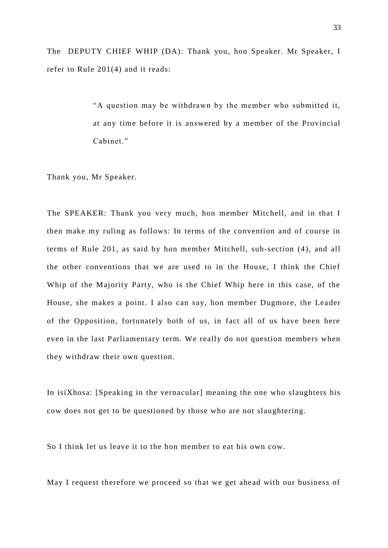The DEPUTY CHIEF WHIP (DA): Thank you, hon Speaker. Mr Speaker, I refer to Rule 201(4) and it reads:

> "A question may be withdrawn by the member who submitted it, at any time before it is answered by a member of the Provincial Cabinet."

Thank you, Mr Speaker.

The SPEAKER: Thank you very much, hon member Mitchell, and in that I then make my ruling as follows: In terms of the convention and of course in terms of Rule 201, as said by hon member Mitchell, sub-section (4), and all the other conventions that we are used to in the House, I think the Chief Whip of the Majority Party, who is the Chief Whip here in this case, of the House, she makes a point. I also can say, hon member Dugmore, the Leader of the Opposition, fortunately both of us, in fact all of us have been here even in the last Parliamentary term. We really do not question members when they withdraw their own question.

In isiXhosa: [Speaking in the vernacular] meaning the one who slaughters his cow does not get to be questioned by those who are not slaughtering.

So I think let us leave it to the hon member to eat his own cow.

May I request therefore we proceed so that we get ahead with our business of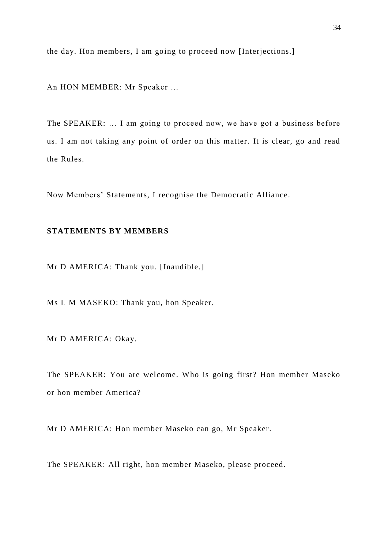the day. Hon members, I am going to proceed now [Interjections.]

An HON MEMBER: Mr Speaker …

The SPEAKER: … I am going to proceed now, we have got a business before us. I am not taking any point of order on this matter. It is clear, go and read the Rules.

Now Members' Statements, I recognise the Democratic Alliance.

# **STATEMENTS BY MEMBERS**

Mr D AMERICA: Thank you. [Inaudible.]

Ms L M MASEKO: Thank you, hon Speaker.

Mr D AMERICA: Okay.

The SPEAKER: You are welcome. Who is going first? Hon member Maseko or hon member America?

Mr D AMERICA: Hon member Maseko can go, Mr Speaker.

The SPEAKER: All right, hon member Maseko, please proceed.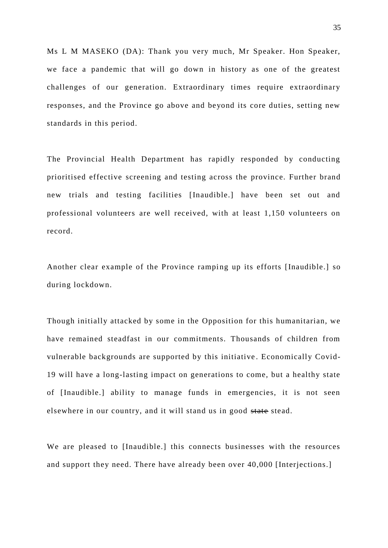Ms L M MASEKO (DA): Thank you very much, Mr Speaker. Hon Speaker, we face a pandemic that will go down in history as one of the greatest challenges of our generation. Extraordinary times require extraordinary responses, and the Province go above and beyond its core duties, setting new standards in this period.

The Provincial Health Department has rapidly responded by conducting prioritised effective screening and testing across the province. Further brand new trials and testing facilities [Inaudible.] have been set out and professional volunteers are well received, with at least 1,150 volunteers on record.

Another clear example of the Province ramping up its efforts [Inaudible.] so during lockdown.

Though initially attacked by some in the Opposition for this humanitarian, we have remained steadfast in our commitments. Thousands of children from vulnerable backgrounds are supported by this initiative . Economically Covid-19 will have a long-lasting impact on generations to come, but a healthy state of [Inaudible.] ability to manage funds in emergencies, it is not seen elsewhere in our country, and it will stand us in good state stead.

We are pleased to [Inaudible.] this connects businesses with the resources and support they need. There have already been over 40,000 [Interjections.]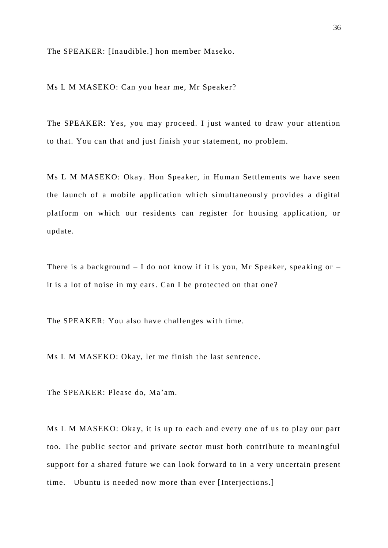The SPEAKER: [Inaudible.] hon member Maseko.

Ms L M MASEKO: Can you hear me, Mr Speaker?

The SPEAKER: Yes, you may proceed. I just wanted to draw your attention to that. You can that and just finish your statement, no problem.

Ms L M MASEKO: Okay. Hon Speaker, in Human Settlements we have seen the launch of a mobile application which simultaneously provides a digital platform on which our residents can register for housing application, or update.

There is a background  $-$  I do not know if it is you, Mr Speaker, speaking or  $$ it is a lot of noise in my ears. Can I be protected on that one?

The SPEAKER: You also have challenges with time.

Ms L M MASEKO: Okay, let me finish the last sentence.

The SPEAKER: Please do, Ma'am.

Ms L M MASEKO: Okay, it is up to each and every one of us to play our part too. The public sector and private sector must both contribute to meaningful support for a shared future we can look forward to in a very uncertain present time. Ubuntu is needed now more than ever [Interjections.]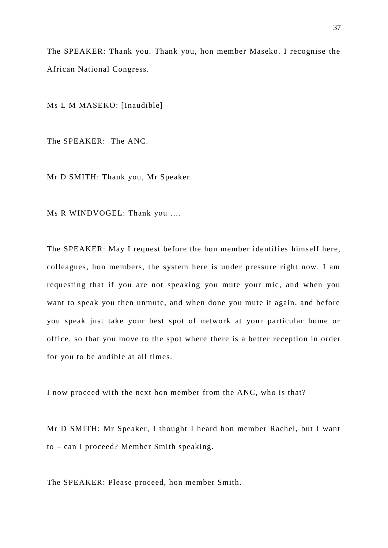The SPEAKER: Thank you. Thank you, hon member Maseko. I recognise the African National Congress.

Ms L M MASEKO: [Inaudible]

The SPEAKER: The ANC.

Mr D SMITH: Thank you, Mr Speaker.

Ms R WINDVOGEL: Thank you ….

The SPEAKER: May I request before the hon member identifies himself here, colleagues, hon members, the system here is under pressure right now. I am requesting that if you are not speaking you mute your mic, and when you want to speak you then unmute, and when done you mute it again, and before you speak just take your best spot of network at your particular home or office, so that you move to the spot where there is a better reception in order for you to be audible at all times.

I now proceed with the next hon member from the ANC, who is that?

Mr D SMITH: Mr Speaker, I thought I heard hon member Rachel, but I want to – can I proceed? Member Smith speaking.

The SPEAKER: Please proceed, hon member Smith.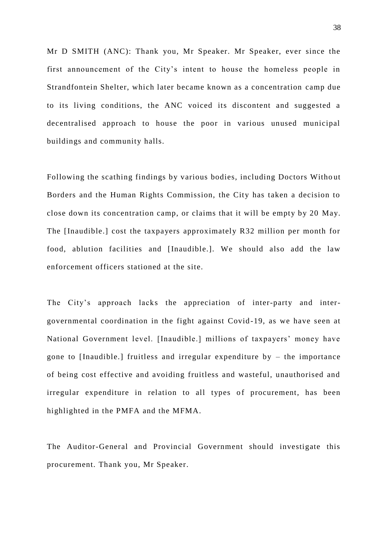Mr D SMITH (ANC): Thank you, Mr Speaker. Mr Speaker, ever since the first announcement of the City's intent to house the homeless people in Strandfontein Shelter, which later became known as a concentration camp due to its living conditions, the ANC voiced its discontent and suggested a decentralised approach to house the poor in various unused municipal buildings and community halls.

Following the scathing findings by various bodies, including Doctors Witho ut Borders and the Human Rights Commission, the City has taken a decision to close down its concentration camp, or claims that it will be empty by 20 May. The [Inaudible.] cost the taxpayers approximately R32 million per month for food, ablution facilities and [Inaudible.]. We should also add the law enforcement officers stationed at the site.

The City's approach lacks the appreciation of inter-party and intergovernmental coordination in the fight against Covid -19, as we have seen at National Government level. [Inaudible.] millions of taxpayers' money have gone to [Inaudible.] fruitless and irregular expenditure by – the importance of being cost effective and avoiding fruitless and wasteful, unauthorised and irregular expenditure in relation to all types of procurement, has been highlighted in the PMFA and the MFMA.

The Auditor-General and Provincial Government should investigate this procurement. Thank you, Mr Speaker.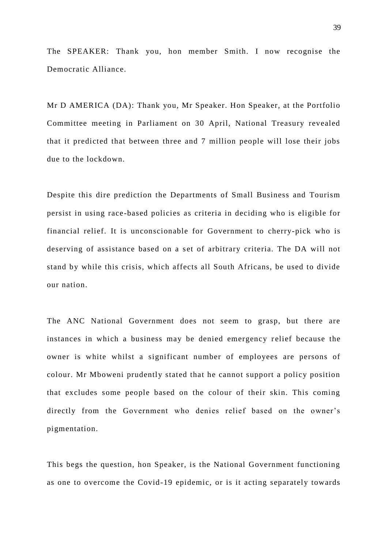The SPEAKER: Thank you, hon member Smith. I now recognise the Democratic Alliance.

Mr D AMERICA (DA): Thank you, Mr Speaker. Hon Speaker, at the Portfolio Committee meeting in Parliament on 30 April, National Treasury revealed that it predicted that between three and 7 million people will lose their jobs due to the lockdown.

Despite this dire prediction the Departments of Small Business and Tourism persist in using race-based policies as criteria in deciding who is eligible for financial relief. It is unconscionable for Government to cherry-pick who is deserving of assistance based on a set of arbitrary criteria. The DA will not stand by while this crisis, which affects all South Africans, be used to divide our nation.

The ANC National Government does not seem to grasp, but there are instances in which a business may be denied emergency relief because the owner is white whilst a significant number of employees are persons of colour. Mr Mboweni prudently stated that he cannot support a policy position that excludes some people based on the colour of their skin. This coming directly from the Government who denies relief based on the owner's pigmentation.

This begs the question, hon Speaker, is the National Government functioning as one to overcome the Covid-19 epidemic, or is it acting separately towards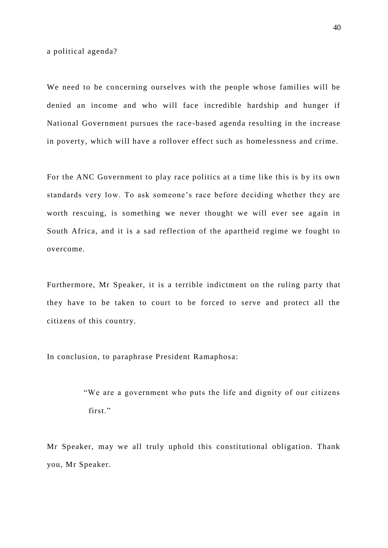a political agenda?

We need to be concerning ourselves with the people whose families will be denied an income and who will face incredible hardship and hunger if National Government pursues the race -based agenda resulting in the increase in poverty, which will have a rollover effect such as homelessness and crime.

For the ANC Government to play race politics at a time like this is by its own standards very low. To ask someone's race before deciding whether they are worth rescuing, is something we never thought we will ever see again in South Africa, and it is a sad reflection of the apartheid regime we fought to overcome.

Furthermore, Mr Speaker, it is a terrible indictment on the ruling party that they have to be taken to court to be forced to serve and protect all the citizens of this country.

In conclusion, to paraphrase President Ramaphosa:

"We are a government who puts the life and dignity of our citizens first."

Mr Speaker, may we all truly uphold this constitutional obligation. Thank you, Mr Speaker.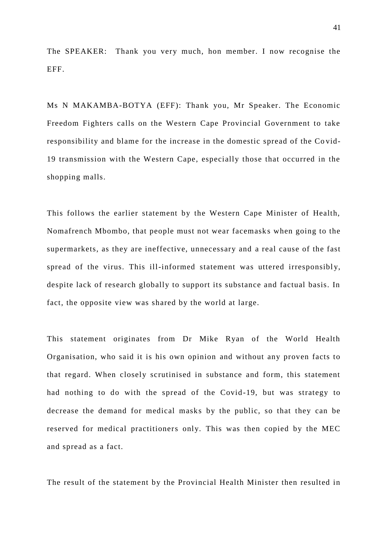The SPEAKER: Thank you very much, hon member. I now recognise the EFF.

Ms N MAKAMBA-BOTYA (EFF): Thank you, Mr Speaker. The Economic Freedom Fighters calls on the Western Cape Provincial Government to take responsibility and blame for the increase in the domestic spread of the Co vid-19 transmission with the Western Cape, especially those that occurred in the shopping malls.

This follows the earlier statement by the Western Cape Minister of Health, Nomafrench Mbombo, that people must not wear facemasks when going to the supermarkets, as they are ineffective, unnecessary and a real cause of the fast spread of the virus. This ill-informed statement was uttered irresponsibly, despite lack of research globally to support its substance and factual basis. In fact, the opposite view was shared by the world at large.

This statement originates from Dr Mike Ryan of the World Health Organisation, who said it is his own opinion and without any proven facts to that regard. When closely scrutinised in substance and form, this statement had nothing to do with the spread of the Covid-19, but was strategy to decrease the demand for medical masks by the public, so that they can be reserved for medical practitioners only. This was then copied by the MEC and spread as a fact.

The result of the statement by the Provincial Health Minister then resulted in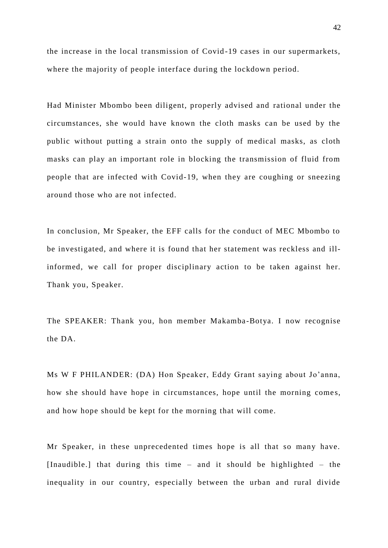the increase in the local transmission of Covid -19 cases in our supermarkets, where the majority of people interface during the lockdown period.

Had Minister Mbombo been diligent, properly advised and rational under the circumstances, she would have known the cloth masks can be used by the public without putting a strain onto the supply of medical masks, as cloth masks can play an important role in blocking the transmission of fluid from people that are infected with Covid-19, when they are coughing or sneezing around those who are not infected.

In conclusion, Mr Speaker, the EFF calls for the conduct of MEC Mbombo to be investigated, and where it is found that her statement was reckless and illinformed, we call for proper disciplinary action to be taken against her. Thank you, Speaker.

The SPEAKER: Thank you, hon member Makamba-Botya. I now recognise the DA.

Ms W F PHILANDER: (DA) Hon Speaker, Eddy Grant saying about Jo'anna, how she should have hope in circumstances, hope until the morning comes, and how hope should be kept for the morning that will come.

Mr Speaker, in these unprecedented times hope is all that so many have. [Inaudible.] that during this time – and it should be highlighted – the inequality in our country, especially between the urban and rural divide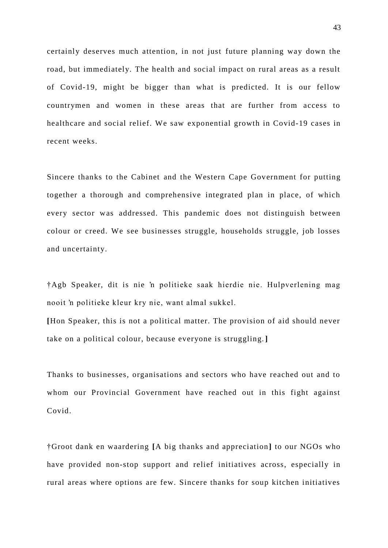certainly deserves much attention, in not just future planning way down the road, but immediately. The health and social impact on rural areas as a result of Covid-19, might be bigger than what is predicted. It is our fellow countrymen and women in these areas that are further from access to healthcare and social relief. We saw exponential growth in Covid-19 cases in recent weeks.

Sincere thanks to the Cabinet and the Western Cape Government for putting together a thorough and comprehensive integrated plan in place, of which every sector was addressed. This pandemic does not distinguish between colour or creed. We see businesses struggle, households struggle, job losses and uncertainty.

†Agb Speaker, dit is nie 'n politieke saak hierdie nie. Hulpverlening mag nooit 'n politieke kleur kry nie, want almal sukkel.

**[**Hon Speaker, this is not a political matter. The provision of aid should never take on a political colour, because everyone is struggling.**]**

Thanks to businesses, organisations and sectors who have reached out and to whom our Provincial Government have reached out in this fight against Covid.

†Groot dank en waardering **[**A big thanks and appreciation**]** to our NGOs who have provided non-stop support and relief initiatives across, especially in rural areas where options are few. Sincere thanks for soup kitchen initiatives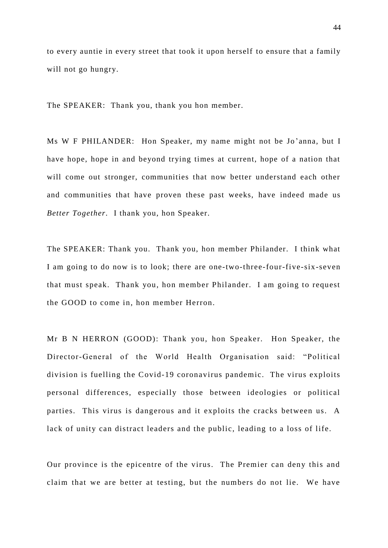to every auntie in every street that took it upon herself to ensure that a family will not go hungry.

The SPEAKER: Thank you, thank you hon member.

Ms W F PHILANDER: Hon Speaker, my name might not be Jo 'anna, but I have hope, hope in and beyond trying times at current, hope of a nation that will come out stronger, communities that now better understand each other and communities that have proven these past weeks, have indeed made us *Better Together.* I thank you, hon Speaker.

The SPEAKER: Thank you. Thank you, hon member Philander. I think what I am going to do now is to look; there are one-two-three-four-five-six-seven that must speak. Thank you, hon member Philander. I am going to request the GOOD to come in, hon member Herron.

Mr B N HERRON (GOOD): Thank you, hon Speaker. Hon Speaker, the Director-General of the World Health Organisation said: "Political division is fuelling the Covid-19 coronavirus pandemic. The virus exploits personal differences, especially those between ideologies or political parties. This virus is dangerous and it exploits the cracks between us. A lack of unity can distract leaders and the public, leading to a loss of life.

Our province is the epicentre of the virus. The Premier can deny this and claim that we are better at testing, but the numbers do not lie. We have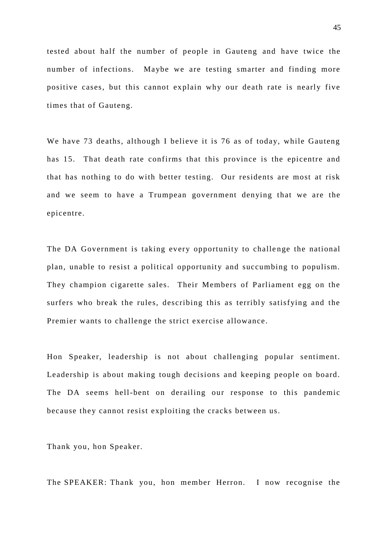tested about half the number of people in Gauteng and have twice the number of infections. Maybe we are testing smarter and finding more positive cases, but this cannot explain why our death rate is nearly five times that of Gauteng.

We have 73 deaths, although I believe it is 76 as of today, while Gauteng has 15. That death rate confirms that this province is the epicentre and that has nothing to do with better testing. Our residents are most at risk and we seem to have a Trumpean government denying that we are the epicentre.

The DA Government is taking every opportunity to challenge the national plan, unable to resist a political opportunity and succumbing to populism. They champion cigarette sales. Their Members of Parliament egg on the surfers who break the rules, describing this as terribly satisfying and the Premier wants to challenge the strict exercise allowance.

Hon Speaker, leadership is not about challenging popular sentiment. Leadership is about making tough decisions and keeping people on board. The DA seems hell-bent on derailing our response to this pandemic because they cannot resist exploiting the cracks between us.

Thank you, hon Speaker.

The SPEAKER: Thank you, hon member Herron. I now recognise the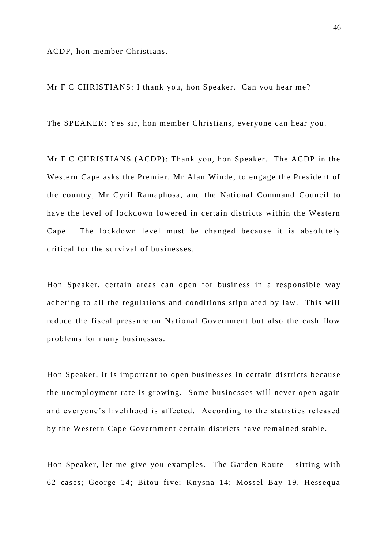ACDP, hon member Christians.

Mr F C CHRISTIANS: I thank you, hon Speaker. Can you hear me?

The SPEAKER: Yes sir, hon member Christians, everyone can hear you.

Mr F C CHRISTIANS (ACDP): Thank you, hon Speaker. The ACDP in the Western Cape asks the Premier, Mr Alan Winde, to engage the President of the country, Mr Cyril Ramaphosa, and the National Command Council to have the level of lockdown lowered in certain districts within the Western Cape. The lockdown level must be changed because it is absolutely critical for the survival of businesses.

Hon Speaker, certain areas can open for business in a responsible way adhering to all the regulations and conditions stipulated by law. This will reduce the fiscal pressure on National Government but also the cash flow problems for many businesses.

Hon Speaker, it is important to open businesses in certain districts because the unemployment rate is growing. Some businesses will never open again and everyone's livelihood is affected. According to the statistics released by the Western Cape Government certain districts ha ve remained stable.

Hon Speaker, let me give you examples. The Garden Route – sitting with 62 cases; George 14; Bitou five; Knysna 14; Mossel Bay 19, Hessequa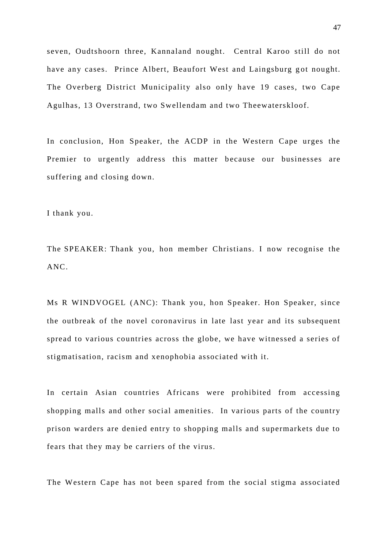seven, Oudtshoorn three, Kannaland nought. Central Karoo still do not have any cases. Prince Albert, Beaufort West and Laingsburg got nought. The Overberg District Municipality also only have 19 cases, two Cape Agulhas, 13 Overstrand, two Swellendam and two Theewaterskloof.

In conclusion, Hon Speaker, the ACDP in the Western Cape urges the Premier to urgently address this matter because our businesses are suffering and closing down.

I thank you.

The SPEAKER: Thank you, hon member Christians. I now recognise the ANC.

Ms R WINDVOGEL (ANC): Thank you, hon Speaker. Hon Speaker, since the outbreak of the novel coronavirus in late last year and its subsequent spread to various countries across the globe, we have witnessed a series of stigmatisation, racism and xenophobia associated with it.

In certain Asian countries Africans were prohibited from accessing shopping malls and other social amenities. In various parts of the country prison warders are denied entry to shopping malls and supermarkets due to fears that they may be carriers of the virus.

The Western Cape has not been spared from the social stigma associated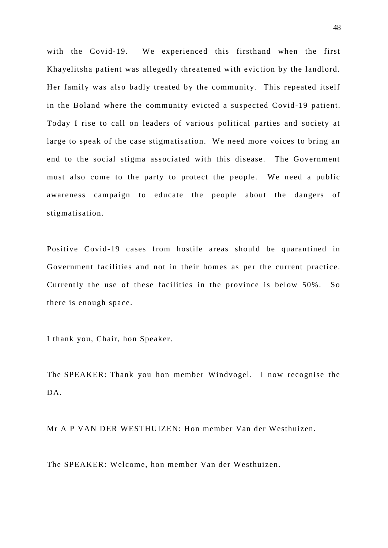with the Covid-19. We experienced this firsthand when the first Khayelitsha patient was allegedly threatened with eviction by the landlord. Her family was also badly treated by the community. This repeated itself in the Boland where the community evicted a suspected Covid-19 patient. Today I rise to call on leaders of various political parties and society at large to speak of the case stigmatisation. We need more voices to bring an end to the social stigma associated with this disease. The Government must also come to the party to protect the people. We need a public awareness campaign to educate the people about the dangers of stigmatisation.

Positive Covid-19 cases from hostile areas should be quarantined in Government facilities and not in their homes as per the current practice. Currently the use of these facilities in the province is below 50%. So there is enough space.

I thank you, Chair, hon Speaker.

The SPEAKER: Thank you hon member Windvogel. I now recognise the DA.

Mr A P VAN DER WESTHUIZEN: Hon member Van der Westhuizen.

The SPEAKER: Welcome, hon member Van der Westhuizen.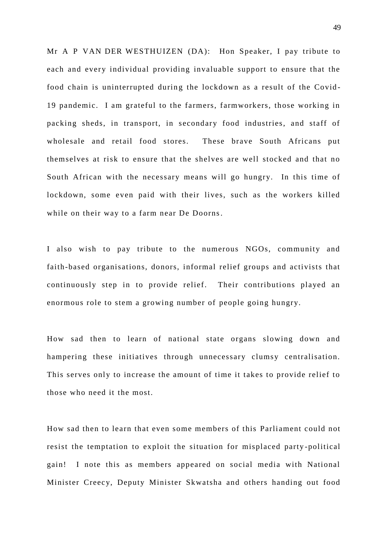Mr A P VAN DER WESTHUIZEN (DA): Hon Speaker, I pay tribute to each and every individual providing invaluable support to ensure that the food chain is uninterrupted during the lockdown as a result of the Covid-19 pandemic. I am grateful to the farmers, farmworkers, those working in packing sheds, in transport, in secondary food industries, and staff of wholesale and retail food stores. These brave South Africans put themselves at risk to ensure that the shelves are well stocked and that no South African with the necessary means will go hungry. In this time of lockdown, some even paid with their lives, such as the workers killed while on their way to a farm near De Doorns.

I also wish to pay tribute to the numerous NGOs, community and faith-based organisations, donors, informal relief groups and activists that continuously step in to provide relief. Their contributions played an enormous role to stem a growing number of people going hungry.

How sad then to learn of national state organs slowing down and hampering these initiatives through unnecessary clumsy centralisation. This serves only to increase the amount of time it takes to provide relief to those who need it the most.

How sad then to learn that even some members of this Parliament could not resist the temptation to exploit the situation for misplaced party -political gain! I note this as members appeared on social media with National Minister Creecy, Deputy Minister Skwatsha and others handing out food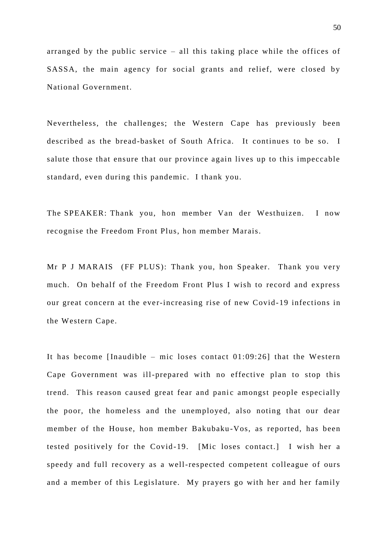arranged by the public service – all this taking place while the offices of SASSA, the main agency for social grants and relief, were closed by National Government.

Nevertheless, the challenges; the Western Cape has previously been described as the bread-basket of South Africa. It continues to be so. I salute those that ensure that our province again lives up to this impeccable standard, even during this pandemic. I thank you.

The SPEAKER: Thank you, hon member Van der Westhuizen. I now recognise the Freedom Front Plus, hon member Marais.

Mr P J MARAIS (FF PLUS): Thank you, hon Speaker. Thank you very much. On behalf of the Freedom Front Plus I wish to record and express our great concern at the ever-increasing rise of new Covid-19 infections in the Western Cape.

It has become [Inaudible – mic loses contact 01:09:26] that the Western Cape Government was ill-prepared with no effective plan to stop this trend. This reason caused great fear and panic amongst people especially the poor, the homeless and the unemployed, also noting that our dear member of the House, hon member Bakubaku -Vos, as reported, has been tested positively for the Covid -19. [Mic loses contact.] I wish her a speedy and full recovery as a well-respected competent colleague of ours and a member of this Legislature. My prayers go with her and her family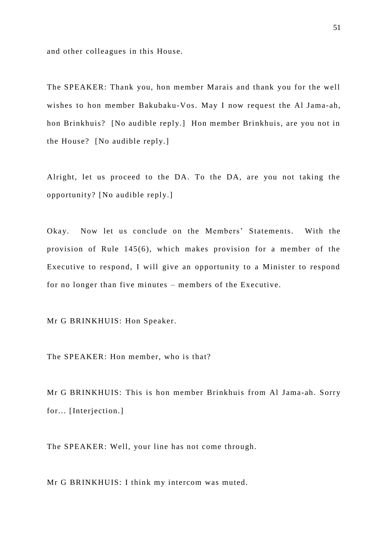and other colleagues in this House.

The SPEAKER: Thank you, hon member Marais and thank you for the well wishes to hon member Bakubaku-Vos. May I now request the Al Jama-ah, hon Brinkhuis? [No audible reply.] Hon member Brinkhuis, are you not in the House? [No audible reply.]

Alright, let us proceed to the DA. To the DA, are you not taking the opportunity? [No audible reply.]

Okay. Now let us conclude on the Members' Statements. With the provision of Rule 145(6), which makes provision for a member of the Executive to respond, I will give an opportunity to a Minister to respond for no longer than five minutes – members of the Executive.

Mr G BRINKHUIS: Hon Speaker.

The SPEAKER: Hon member, who is that?

Mr G BRINKHUIS: This is hon member Brinkhuis from Al Jama-ah. Sorry for... [Interjection.]

The SPEAKER: Well, your line has not come through.

Mr G BRINKHUIS: I think my intercom was muted.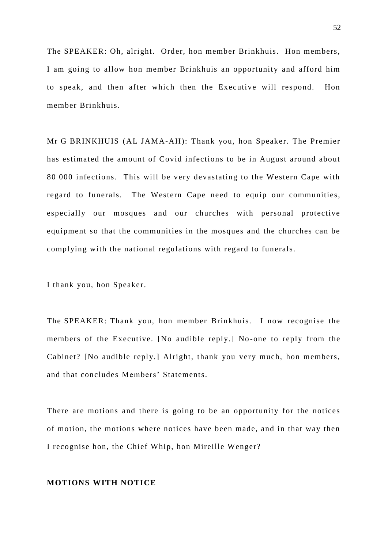The SPEAKER: Oh, alright. Order, hon member Brinkhuis. Hon members, I am going to allow hon member Brinkhuis an opportunity and afford him to speak, and then after which then the Executive will respond. Hon member Brinkhuis.

Mr G BRINKHUIS (AL JAMA-AH): Thank you, hon Speaker. The Premier has estimated the amount of Covid infections to be in August around about 80 000 infections. This will be very devastating to the Western Cape with regard to funerals. The Western Cape need to equip our communities, especially our mosques and our churches with personal protective equipment so that the communities in the mosques and the churches can be complying with the national regulations with regard to funerals.

I thank you, hon Speaker.

The SPEAKER: Thank you, hon member Brinkhuis. I now recognise the members of the Executive. [No audible reply.] No -one to reply from the Cabinet? [No audible reply.] Alright, thank you very much, hon members, and that concludes Members' Statements.

There are motions and there is going to be an opportunity for the notices of motion, the motions where notices have been made, and in that way then I recognise hon, the Chief Whip, hon Mireille Wenger?

## **MOTIONS WITH NOTICE**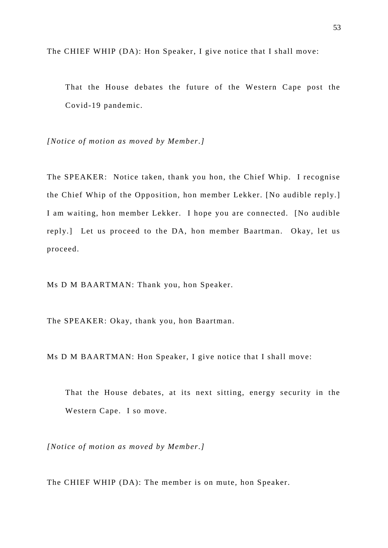The CHIEF WHIP (DA): Hon Speaker, I give notice that I shall move:

That the House debates the future of the Western Cape post the Covid-19 pandemic.

*[Notice of motion as moved by Member.]*

The SPEAKER: Notice taken, thank you hon, the Chief Whip. I recognise the Chief Whip of the Opposition, hon member Lekker. [No audible reply.] I am waiting, hon member Lekker. I hope you are connected. [No audible reply.] Let us proceed to the DA, hon member Baartman. Okay, let us proceed.

Ms D M BAARTMAN: Thank you, hon Speaker.

The SPEAKER: Okay, thank you, hon Baartman.

Ms D M BAARTMAN: Hon Speaker, I give notice that I shall move:

That the House debates, at its next sitting, energy security in the Western Cape. I so move.

*[Notice of motion as moved by Member.]*

The CHIEF WHIP (DA): The member is on mute, hon Speaker.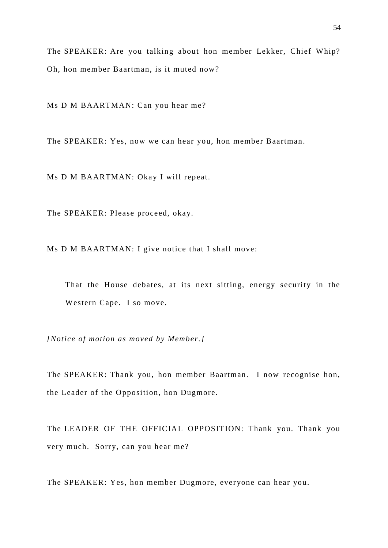The SPEAKER: Are you talking about hon member Lekker, Chief Whip? Oh, hon member Baartman, is it muted now?

Ms D M BAARTMAN: Can you hear me?

The SPEAKER: Yes, now we can hear you, hon member Baartman.

Ms D M BAARTMAN: Okay I will repeat.

The SPEAKER: Please proceed, okay.

Ms D M BAARTMAN: I give notice that I shall move:

That the House debates, at its next sitting, energy security in the Western Cape. I so move.

*[Notice of motion as moved by Member.]* 

The SPEAKER: Thank you, hon member Baartman. I now recognise hon, the Leader of the Opposition, hon Dugmore.

The LEADER OF THE OFFICIAL OPPOSITION: Thank you. Thank you very much. Sorry, can you hear me?

The SPEAKER: Yes, hon member Dugmore, everyone can hear you.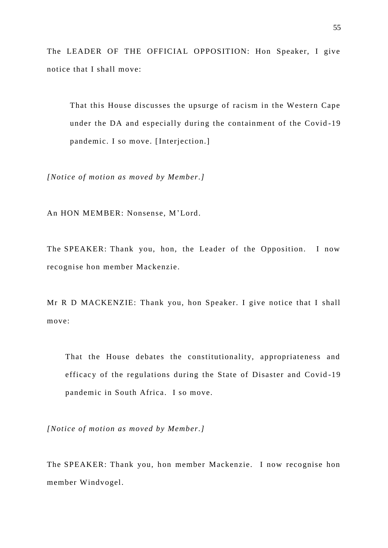The LEADER OF THE OFFICIAL OPPOSITION: Hon Speaker, I give notice that I shall move:

That this House discusses the upsurge of racism in the Western Cape under the DA and especially during the containment of the Covid -19 pandemic. I so move. [Interjection.]

*[Notice of motion as moved by Member.]* 

An HON MEMBER: Nonsense, M'Lord.

The SPEAKER: Thank you, hon, the Leader of the Opposition. I now recognise hon member Mackenzie.

Mr R D MACKENZIE: Thank you, hon Speaker. I give notice that I shall move:

That the House debates the constitutionality, appropriateness and efficacy of the regulations during the State of Disaster and Covid -19 pandemic in South Africa. I so move.

*[Notice of motion as moved by Member.]* 

The SPEAKER: Thank you, hon member Mackenzie. I now recognise hon member Windvogel.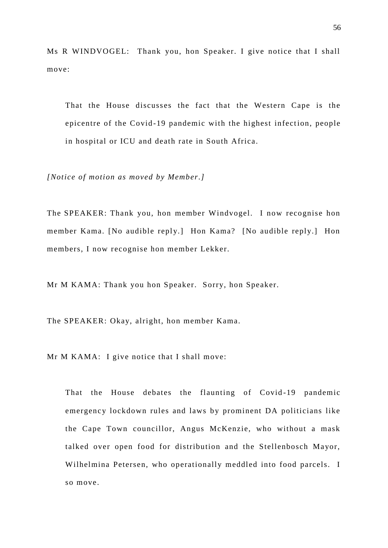Ms R WINDVOGEL: Thank you, hon Speaker. I give notice that I shall move:

That the House discusses the fact that the Western Cape is the epicentre of the Covid-19 pandemic with the highest infection, people in hospital or ICU and death rate in South Africa.

*[Notice of motion as moved by Member.]* 

The SPEAKER: Thank you, hon member Windvogel. I now recognise hon member Kama. [No audible reply.] Hon Kama? [No audible reply.] Hon members, I now recognise hon member Lekker.

Mr M KAMA: Thank you hon Speaker. Sorry, hon Speaker.

The SPEAKER: Okay, alright, hon member Kama.

Mr M KAMA: I give notice that I shall move:

That the House debates the flaunting of Covid-19 pandemic emergency lockdown rules and laws by prominent DA politicians like the Cape Town councillor, Angus McKenzie, who without a mask talked over open food for distribution and the Stellenbosch Mayor, Wilhelmina Petersen, who operationally meddled into food parcels. I so move.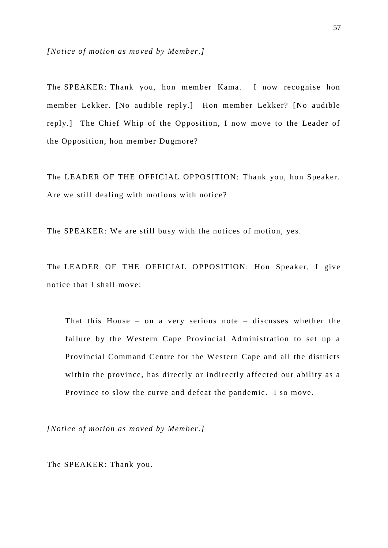*[Notice of motion as moved by Member.]* 

The SPEAKER: Thank you, hon member Kama. I now recognise hon member Lekker. [No audible reply.] Hon member Lekker? [No audible reply.] The Chief Whip of the Opposition, I now move to the Leader of the Opposition, hon member Dugmore?

The LEADER OF THE OFFICIAL OPPOSITION: Thank you, hon Speaker. Are we still dealing with motions with notice?

The SPEAKER: We are still busy with the notices of motion, yes.

The LEADER OF THE OFFICIAL OPPOSITION: Hon Speaker, I give notice that I shall move:

That this House – on a very serious note – discusses whether the failure by the Western Cape Provincial Administration to set up a Provincial Command Centre for the Western Cape and all the districts within the province, has directly or indirectly affected our ability as a Province to slow the curve and defeat the pandemic. I so move.

*[Notice of motion as moved by Member.]* 

The SPEAKER: Thank you.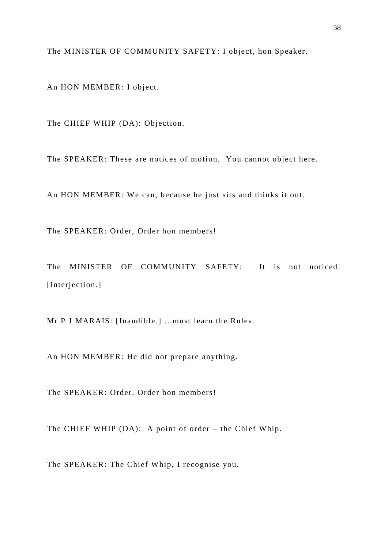The MINISTER OF COMMUNITY SAFETY: I object, hon Speaker.

An HON MEMBER: I object.

The CHIEF WHIP (DA): Objection.

The SPEAKER: These are notices of motion. You cannot object here.

An HON MEMBER: We can, because he just sits and thinks it out.

The SPEAKER: Order, Order hon members!

The MINISTER OF COMMUNITY SAFETY: It is not noticed. [Interjection.]

Mr P J MARAIS: [Inaudible.] ...must learn the Rules.

An HON MEMBER: He did not prepare anything.

The SPEAKER: Order. Order hon members!

The CHIEF WHIP (DA): A point of order – the Chief Whip.

The SPEAKER: The Chief Whip, I recognise you.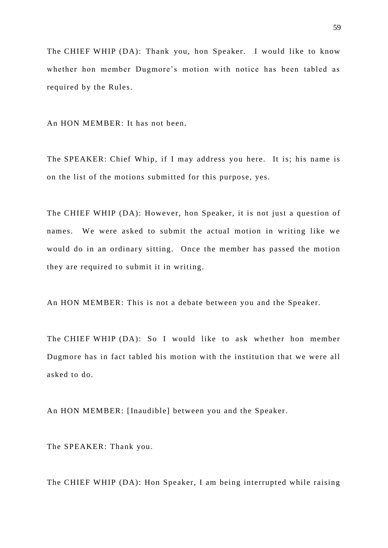The CHIEF WHIP (DA): Thank you, hon Speaker. I would like to know whether hon member Dugmore's motion with notice has been tabled as required by the Rules.

An HON MEMBER: It has not been.

The SPEAKER: Chief Whip, if I may address you here. It is; his name is on the list of the motions submitted for this purpose, yes.

The CHIEF WHIP (DA): However, hon Speaker, it is not just a question of names. We were asked to submit the actual motion in writing like we would do in an ordinary sitting. Once the member has passed the motion they are required to submit it in writing.

An HON MEMBER: This is not a debate between you and the Speaker.

The CHIEF WHIP (DA): So I would like to ask whether hon member Dugmore has in fact tabled his motion with the institution that we were all asked to do.

An HON MEMBER: [Inaudible] between you and the Speaker.

The SPEAKER: Thank you.

The CHIEF WHIP (DA): Hon Speaker, I am being interrupted while raising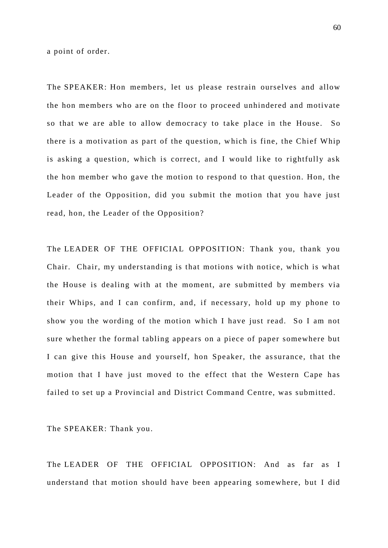a point of order.

The SPEAKER: Hon members, let us please restrain ourselves and allow the hon members who are on the floor to proceed unhindered and motivate so that we are able to allow democracy to take place in the House. So there is a motivation as part of the question, w hich is fine, the Chief Whip is asking a question, which is correct, and I would like to rightfully ask the hon member who gave the motion to respond to that question. Hon, the Leader of the Opposition, did you submit the motion that you have just read, hon, the Leader of the Opposition?

The LEADER OF THE OFFICIAL OPPOSITION: Thank you, thank you Chair. Chair, my understanding is that motions with notice, which is what the House is dealing with at the moment, are submitted by members via their Whips, and I can confirm, and, if necessary, hold up my phone to show you the wording of the motion which I have just read. So I am not sure whether the formal tabling appears on a piece of paper somewhere but I can give this House and yourself, hon Speaker, the assurance, that the motion that I have just moved to the effect that the Western Cape has failed to set up a Provincial and District Command Centre, was submitted.

The SPEAKER: Thank you.

The LEADER OF THE OFFICIAL OPPOSITION: And as far as I understand that motion should have been appearing somewhere, but I did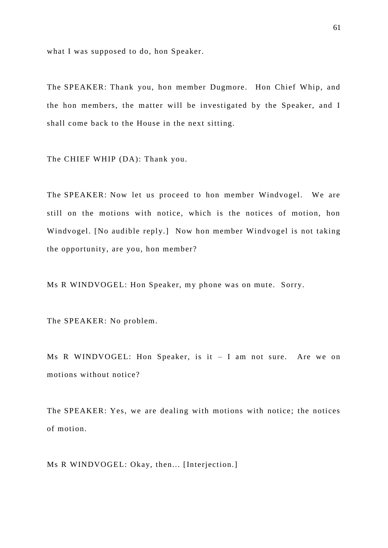what I was supposed to do, hon Speaker.

The SPEAKER: Thank you, hon member Dugmore. Hon Chief Whip, and the hon members, the matter will be investigated by the Speaker, and I shall come back to the House in the next sitting.

The CHIEF WHIP (DA): Thank you.

The SPEAKER: Now let us proceed to hon member Windvogel. We are still on the motions with notice, which is the notices of motion, hon Windvogel. [No audible reply.] Now hon member Windvogel is not taking the opportunity, are you, hon member?

Ms R WINDVOGEL: Hon Speaker, my phone was on mute. Sorry.

The SPEAKER: No problem.

Ms R WINDVOGEL: Hon Speaker, is it – I am not sure. Are we on motions without notice?

The SPEAKER: Yes, we are dealing with motions with notice; the notices of motion.

Ms R WINDVOGEL: Okay, then... [Interjection.]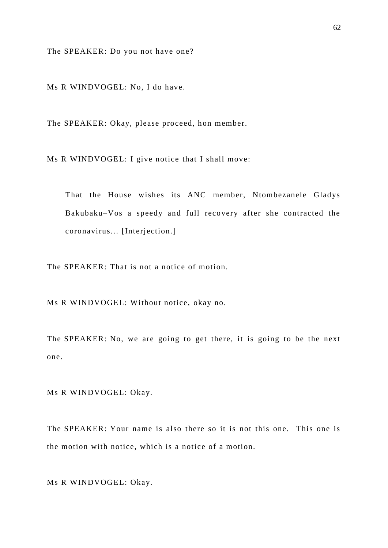The SPEAKER: Do you not have one?

Ms R WINDVOGEL: No, I do have.

The SPEAKER: Okay, please proceed, hon member.

Ms R WINDVOGEL: I give notice that I shall move:

That the House wishes its ANC member, Ntombezanele Gladys Bakubaku–Vos a speedy and full recovery after she contracted the coronavirus... [Interjection.]

The SPEAKER: That is not a notice of motion.

Ms R WINDVOGEL: Without notice, okay no.

The SPEAKER: No, we are going to get there, it is going to be the next one.

Ms R WINDVOGEL: Okay.

The SPEAKER: Your name is also there so it is not this one. This one is the motion with notice, which is a notice of a motion.

Ms R WINDVOGEL: Okay.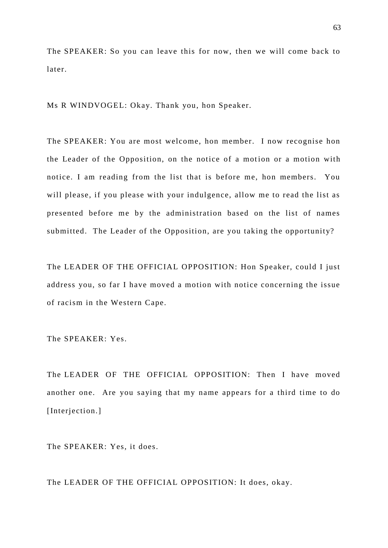The SPEAKER: So you can leave this for now, then we will come back to later.

Ms R WINDVOGEL: Okay. Thank you, hon Speaker.

The SPEAKER: You are most welcome, hon member. I now recognise hon the Leader of the Opposition, on the notice of a motion or a motion with notice. I am reading from the list that is before me, hon members. You will please, if you please with your indulgence, allow me to read the list as presented before me by the administration based on the list of names submitted. The Leader of the Opposition, are you taking the opportunity?

The LEADER OF THE OFFICIAL OPPOSITION: Hon Speaker, could I just address you, so far I have moved a motion with notice concerning the issue of racism in the Western Cape.

The SPEAKER: Yes.

The LEADER OF THE OFFICIAL OPPOSITION: Then I have moved another one. Are you saying that my name appears for a third time to do [Interjection.]

The SPEAKER: Yes, it does.

The LEADER OF THE OFFICIAL OPPOSITION: It does, okay.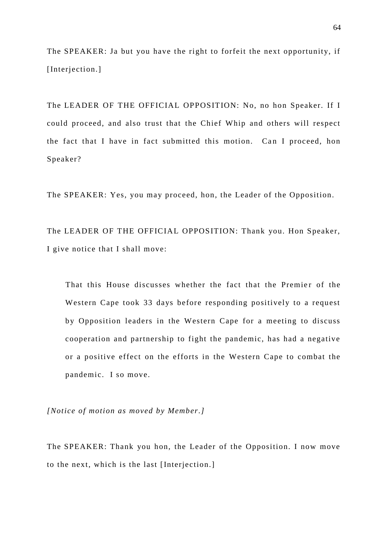The SPEAKER: Ja but you have the right to forfeit the next opportunity, if [Interjection.]

The LEADER OF THE OFFICIAL OPPOSITION: No, no hon Speaker. If I could proceed, and also trust that the Chief Whip and others will respect the fact that I have in fact submitted this motion. Can I proceed, hon Speaker?

The SPEAKER: Yes, you may proceed, hon, the Leader of the Opposition.

The LEADER OF THE OFFICIAL OPPOSITION: Thank you. Hon Speaker, I give notice that I shall move:

That this House discusses whether the fact that the Premier of the Western Cape took 33 days before responding positively to a request by Opposition leaders in the Western Cape for a meeting to discuss cooperation and partnership to fight the pandemic, has had a negative or a positive effect on the efforts in the Western Cape to combat the pandemic. I so move.

*[Notice of motion as moved by Member.]* 

The SPEAKER: Thank you hon, the Leader of the Opposition. I now move to the next, which is the last [Interjection.]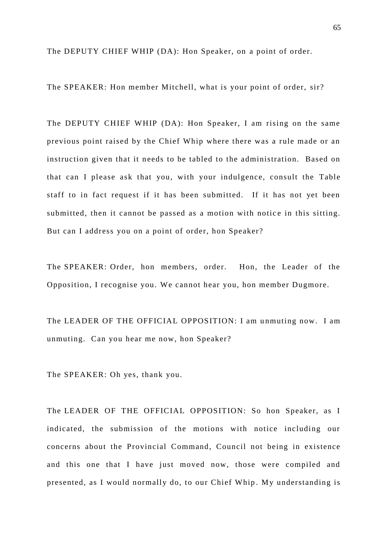The DEPUTY CHIEF WHIP (DA): Hon Speaker, on a point of order.

The SPEAKER: Hon member Mitchell, what is your point of order, sir?

The DEPUTY CHIEF WHIP (DA): Hon Speaker, I am rising on the same previous point raised by the Chief Whip where there was a rule made or an instruction given that it needs to be tabled to the administration. Based on that can I please ask that you, with your indulgence, consult the Table staff to in fact request if it has been submitted. If it has not yet been submitted, then it cannot be passed as a motion with notice in this sitting. But can I address you on a point of order, hon Speaker?

The SPEAKER: Order, hon members, order. Hon, the Leader of the Opposition, I recognise you. We cannot hear you, hon member Dugmore.

The LEADER OF THE OFFICIAL OPPOSITION: I am unmuting now. I am unmuting. Can you hear me now, hon Speaker?

The SPEAKER: Oh yes, thank you.

The LEADER OF THE OFFICIAL OPPOSITION: So hon Speaker, as I indicated, the submission of the motions with notice including our concerns about the Provincial Command, Council not being in existence and this one that I have just moved now, those were compiled and presented, as I would normally do, to our Chief Whip. My understanding is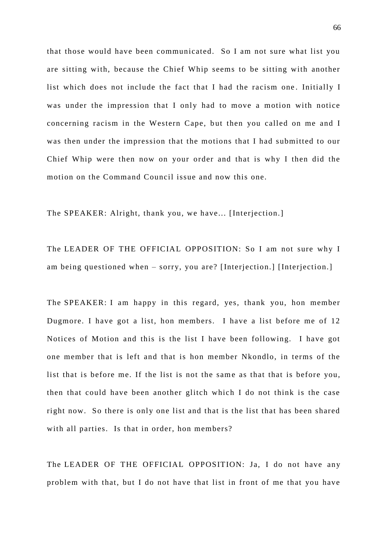that those would have been communicated. So I am not sure what list you are sitting with, because the Chief Whip seems to be sitting with another list which does not include the fact that I had the racism one . Initially I was under the impression that I only had to move a motion with notice concerning racism in the Western Cape, but then you called on me and I was then under the impression that the motions that I had submitted to our Chief Whip were then now on your order and that is why I then did the motion on the Command Council issue and now this one.

The SPEAKER: Alright, thank you, we have... [Interjection.]

The LEADER OF THE OFFICIAL OPPOSITION: So I am not sure why I am being questioned when – sorry, you are? [Interjection.] [Interjection.]

The SPEAKER: I am happy in this regard, yes, thank you, hon member Dugmore. I have got a list, hon members. I have a list before me of 12 Notices of Motion and this is the list I have been following. I have got one member that is left and that is hon member Nkondlo, in terms of the list that is before me. If the list is not the same as that that is before you, then that could have been another glitch which I do not think is the case right now. So there is only one list and that is the list that has been shared with all parties. Is that in order, hon members?

The LEADER OF THE OFFICIAL OPPOSITION: Ja, I do not have any problem with that, but I do not have that list in front of me that you have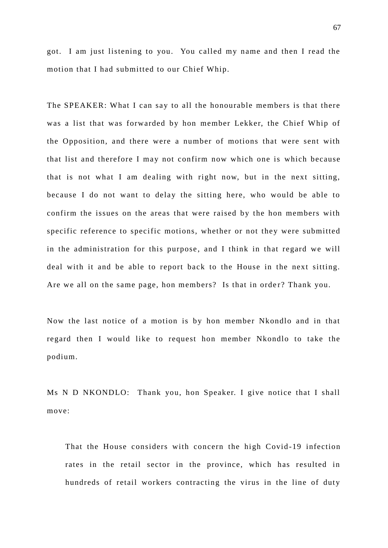got. I am just listening to you. You called my name and then I read the motion that I had submitted to our Chief Whip.

The SPEAKER: What I can say to all the honourable members is that there was a list that was forwarded by hon member Lekker, the Chief Whip of the Opposition, and there were a number of motions that were sent with that list and therefore I may not confirm now which one is which because that is not what I am dealing with right now, but in the next sitting, because I do not want to delay the sitting here, who would be able to confirm the issues on the areas that were raised by the hon members with specific reference to specific motions, whether or not they were submitted in the administration for this purpose, and I think in that regard we will deal with it and be able to report back to the House in the next sitting. Are we all on the same page, hon members? Is that in order? Thank you.

Now the last notice of a motion is by hon member Nkondlo and in that regard then I would like to request hon member Nkondlo to take the podium.

Ms N D NKONDLO: Thank you, hon Speaker. I give notice that I shall move:

That the House considers with concern the high Covid-19 infection rates in the retail sector in the province, which has resulted in hundreds of retail workers contracting the virus in the line of duty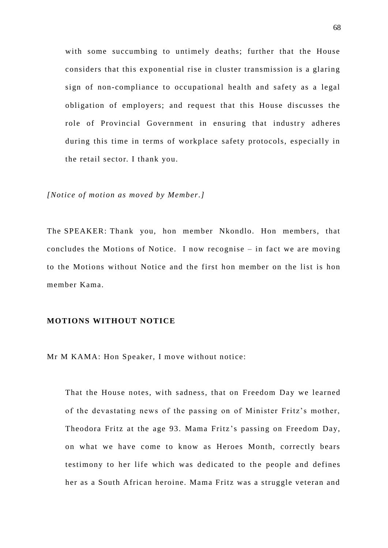with some succumbing to untimely deaths; further that the House considers that this exponential rise in cluster transmission is a glaring sign of non-compliance to occupational health and safety as a legal obligation of employers; and request that this House discusses the role of Provincial Government in ensuring that industry adheres during this time in terms of workplace safety protocols, especially in the retail sector. I thank you.

*[Notice of motion as moved by Member.]* 

The SPEAKER: Thank you, hon member Nkondlo. Hon members, that concludes the Motions of Notice. I now recognise – in fact we are moving to the Motions without Notice and the first hon member on the list is hon member Kama.

## **MOTIONS WITHOUT NOTICE**

Mr M KAMA: Hon Speaker, I move without notice:

That the House notes, with sadness, that on Freedom Day we learned of the devastating news of the passing on of Minister Fritz's mother, Theodora Fritz at the age 93. Mama Fritz 's passing on Freedom Day, on what we have come to know as Heroes Month, correctly bears testimony to her life which was dedicated to the people and defines her as a South African heroine. Mama Fritz was a struggle veteran and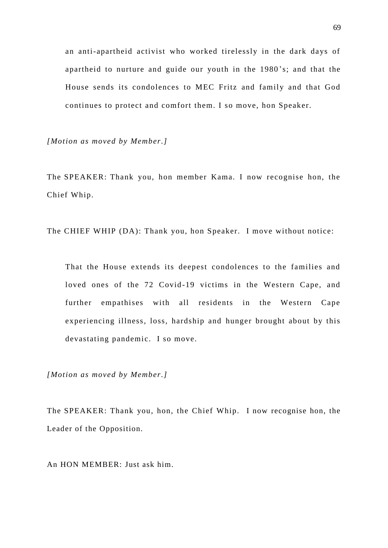an anti-apartheid activist who worked tirelessly in the dark days of apartheid to nurture and guide our youth in the 1980 's; and that the House sends its condolences to MEC Fritz and family and that God continues to protect and comfort them. I so move, hon Speaker.

*[Motion as moved by Member.]*

The SPEAKER: Thank you, hon member Kama. I now recognise hon, the Chief Whip.

The CHIEF WHIP (DA): Thank you, hon Speaker. I move without notice:

That the House extends its deepest condolences to the families and loved ones of the 72 Covid-19 victims in the Western Cape, and further empathises with all residents in the Western Cape experiencing illness, loss, hardship and hunger brought about by this devastating pandemic. I so move.

*[Motion as moved by Member.]* 

The SPEAKER: Thank you, hon, the Chief Whip. I now recognise hon, the Leader of the Opposition.

An HON MEMBER: Just ask him.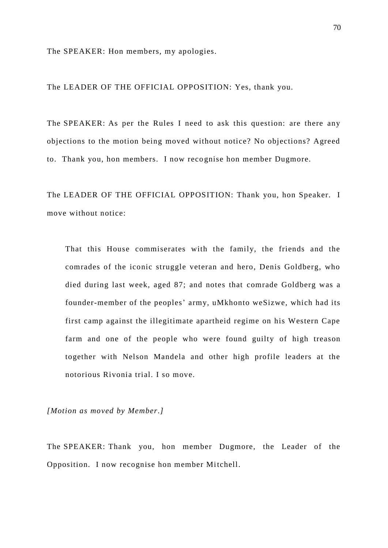The SPEAKER: Hon members, my apologies.

The LEADER OF THE OFFICIAL OPPOSITION: Yes, thank you.

The SPEAKER: As per the Rules I need to ask this question: are there any objections to the motion being moved without notice? No objections? Agreed to. Thank you, hon members. I now recognise hon member Dugmore.

The LEADER OF THE OFFICIAL OPPOSITION: Thank you, hon Speaker. I move without notice:

That this House commiserates with the family, the friends and the comrades of the iconic struggle veteran and hero, Denis Goldberg, who died during last week, aged 87; and notes that comrade Goldberg was a founder-member of the peoples' army, uMkhonto weSizwe, which had its first camp against the illegitimate apartheid regime on his Western Cape farm and one of the people who were found guilty of high treason together with Nelson Mandela and other high profile leaders at the notorious Rivonia trial. I so move.

*[Motion as moved by Member.]* 

The SPEAKER: Thank you, hon member Dugmore, the Leader of the Opposition. I now recognise hon member Mitchell.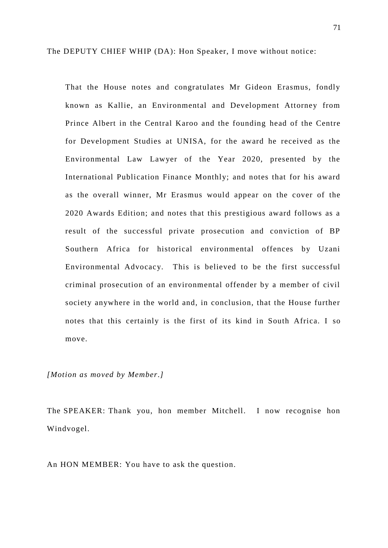The DEPUTY CHIEF WHIP (DA): Hon Speaker, I move without notice:

That the House notes and congratulates Mr Gideon Erasmus, fondly known as Kallie, an Environmental and Development Attorney from Prince Albert in the Central Karoo and the founding head of the Centre for Development Studies at UNISA, for the award he received as the Environmental Law Lawyer of the Year 2020, presented by the International Publication Finance Monthly; and notes that for his award as the overall winner, Mr Erasmus would appear on the cover of the 2020 Awards Edition; and notes that this prestigious award follows as a result of the successful private prosecution and conviction of BP Southern Africa for historical environmental offences by Uzani Environmental Advocacy. This is believed to be the first successful criminal prosecution of an environmental offender by a member of civil society anywhere in the world and, in conclusion, that the House further notes that this certainly is the first of its kind in South Africa. I so move.

## *[Motion as moved by Member.]*

The SPEAKER: Thank you, hon member Mitchell. I now recognise hon Windvogel.

An HON MEMBER: You have to ask the question.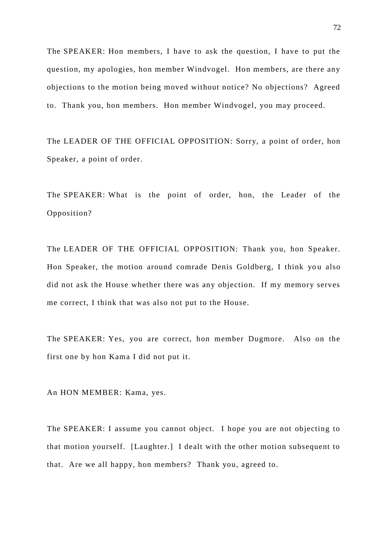The SPEAKER: Hon members, I have to ask the question, I have to put the question, my apologies, hon member Windvogel. Hon members, are there any objections to the motion being moved without notice? No objections? Agreed to. Thank you, hon members. Hon member Windvogel, you may proceed.

The LEADER OF THE OFFICIAL OPPOSITION: Sorry, a point of order, hon Speaker, a point of order.

The SPEAKER: What is the point of order, hon, the Leader of the Opposition?

The LEADER OF THE OFFICIAL OPPOSITION: Thank you, hon Speaker. Hon Speaker, the motion around comrade Denis Goldberg, I think you also did not ask the House whether there was any objection. If my memory serves me correct, I think that was also not put to the House.

The SPEAKER: Yes, you are correct, hon member Dugmore. Also on the first one by hon Kama I did not put it.

An HON MEMBER: Kama, yes.

The SPEAKER: I assume you cannot object. I hope you are not objecting to that motion yourself. [Laughter.] I dealt with the other motion subsequent to that. Are we all happy, hon members? Thank you, agreed to.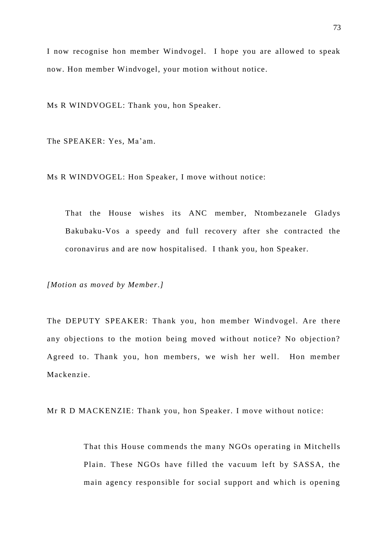I now recognise hon member Windvogel. I hope you are allowed to speak now. Hon member Windvogel, your motion without notice.

Ms R WINDVOGEL: Thank you, hon Speaker.

The SPEAKER: Yes, Ma'am.

Ms R WINDVOGEL: Hon Speaker, I move without notice:

That the House wishes its ANC member, Ntombezanele Gladys Bakubaku-Vos a speedy and full recovery after she contracted the coronavirus and are now hospitalised. I thank you, hon Speaker.

*[Motion as moved by Member.]* 

The DEPUTY SPEAKER: Thank you, hon member Windvogel. Are there any objections to the motion being moved without notice? No objection? Agreed to. Thank you, hon members, we wish her well. Hon member Mackenzie.

Mr R D MACKENZIE: Thank you, hon Speaker. I move without notice:

That this House commends the many NGOs operating in Mitchells Plain. These NGOs have filled the vacuum left by SASSA, the main agency responsible for social support and which is opening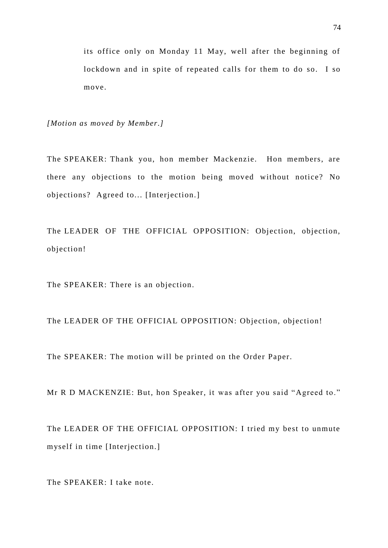its office only on Monday 11 May, well after the beginning of lockdown and in spite of repeated calls for them to do so. I so move.

*[Motion as moved by Member.]* 

The SPEAKER: Thank you, hon member Mackenzie. Hon members, are there any objections to the motion being moved without notice? No objections? Agreed to... [Interjection.]

The LEADER OF THE OFFICIAL OPPOSITION: Objection, objection, objection!

The SPEAKER: There is an objection.

The LEADER OF THE OFFICIAL OPPOSITION: Objection, objection!

The SPEAKER: The motion will be printed on the Order Paper.

Mr R D MACKENZIE: But, hon Speaker, it was after you said "Agreed to."

The LEADER OF THE OFFICIAL OPPOSITION: I tried my best to unmute myself in time [Interjection.]

The SPEAKER: I take note.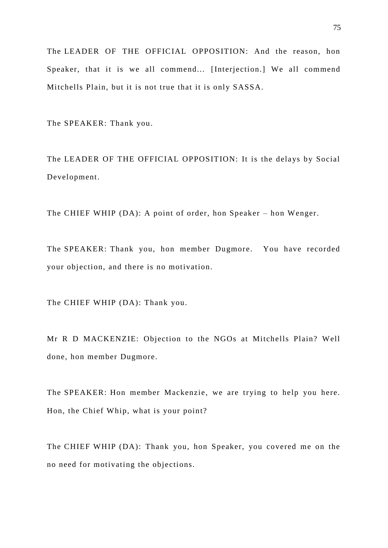The LEADER OF THE OFFICIAL OPPOSITION: And the reason, hon Speaker, that it is we all commend... [Interjection.] We all commend Mitchells Plain, but it is not true that it is only SASSA.

The SPEAKER: Thank you.

The LEADER OF THE OFFICIAL OPPOSITION: It is the delays by Social Development.

The CHIEF WHIP (DA): A point of order, hon Speaker – hon Wenger.

The SPEAKER: Thank you, hon member Dugmore. You have recorded your objection, and there is no motivation.

The CHIEF WHIP (DA): Thank you.

Mr R D MACKENZIE: Objection to the NGOs at Mitchells Plain? Well done, hon member Dugmore.

The SPEAKER: Hon member Mackenzie, we are trying to help you here. Hon, the Chief Whip, what is your point?

The CHIEF WHIP (DA): Thank you, hon Speaker, you covered me on the no need for motivating the objections.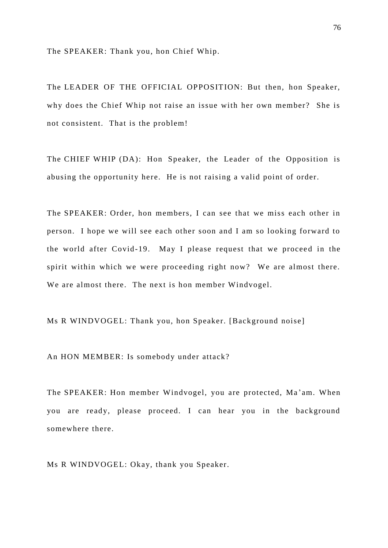The SPEAKER: Thank you, hon Chief Whip.

The LEADER OF THE OFFICIAL OPPOSITION: But then, hon Speaker, why does the Chief Whip not raise an issue with her own member? She is not consistent. That is the problem!

The CHIEF WHIP (DA): Hon Speaker, the Leader of the Opposition is abusing the opportunity here. He is not raising a valid point of order.

The SPEAKER: Order, hon members, I can see that we miss each other in person. I hope we will see each other soon and I am so looking forward to the world after Covid-19. May I please request that we proceed in the spirit within which we were proceeding right now? We are almost there. We are almost there. The next is hon member Windvogel.

Ms R WINDVOGEL: Thank you, hon Speaker. [Background noise]

An HON MEMBER: Is somebody under attack?

The SPEAKER: Hon member Windvogel, you are protected, Ma 'am. When you are ready, please proceed. I can hear you in the background somewhere there.

Ms R WINDVOGEL: Okay, thank you Speaker.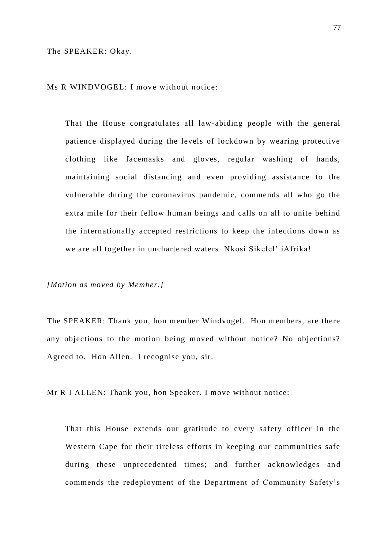The SPEAKER: Okay.

Ms R WINDVOGEL: I move without notice:

That the House congratulates all law-abiding people with the general patience displayed during the levels of lockdown by wearing protective clothing like facemasks and gloves, regular washing of hands, maintaining social distancing and even providing assistance to the vulnerable during the coronavirus pandemic, commends all who go the extra mile for their fellow human beings and calls on all to unite behind the internationally accepted restrictions to keep the infections down as we are all together in unchartered waters. Nkosi Sikelel' iAfrika!

*[Motion as moved by Member.]* 

The SPEAKER: Thank you, hon member Windvogel. Hon members, are there any objections to the motion being moved without notice? No objections? Agreed to. Hon Allen. I recognise you, sir.

Mr R I ALLEN: Thank you, hon Speaker. I move without notice:

That this House extends our gratitude to every safety officer in the Western Cape for their tireless efforts in keeping our communities safe during these unprecedented times; and further acknowledges and commends the redeployment of the Department of Community Safety's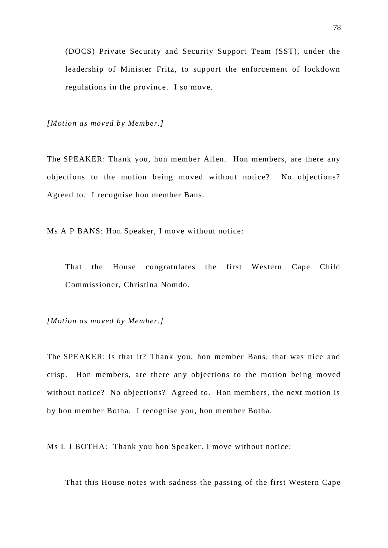(DOCS) Private Security and Security Support Team (SST), under the leadership of Minister Fritz, to support the enforcement of lockdown regulations in the province. I so move.

*[Motion as moved by Member.]* 

The SPEAKER: Thank you, hon member Allen. Hon members, are there any objections to the motion being moved without notice? No objections? Agreed to. I recognise hon member Bans.

Ms A P BANS: Hon Speaker, I move without notice:

That the House congratulates the first Western Cape Child Commissioner, Christina Nomdo.

*[Motion as moved by Member.]* 

The SPEAKER: Is that it? Thank you, hon member Bans, that was nice and crisp. Hon members, are there any objections to the motion being moved without notice? No objections? Agreed to. Hon members, the next motion is by hon member Botha. I recognise you, hon member Botha.

Ms L J BOTHA: Thank you hon Speaker. I move without notice:

That this House notes with sadness the passing of the first Western Cape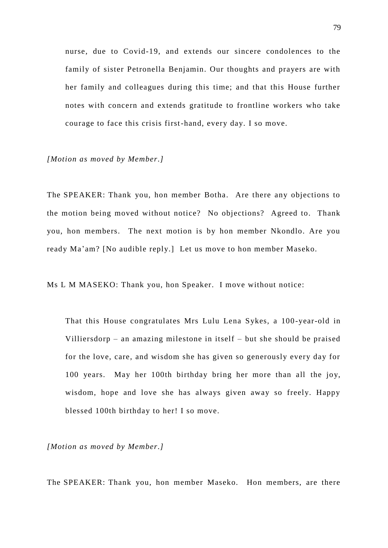nurse, due to Covid-19, and extends our sincere condolences to the family of sister Petronella Benjamin. Our thoughts and prayers are with her family and colleagues during this time; and that this House further notes with concern and extends gratitude to frontline workers who take courage to face this crisis first-hand, every day. I so move.

## *[Motion as moved by Member.]*

The SPEAKER: Thank you, hon member Botha. Are there any objections to the motion being moved without notice? No objections? Agreed to. Thank you, hon members. The next motion is by hon member Nkondlo. Are you ready Ma'am? [No audible reply.] Let us move to hon member Maseko.

Ms L M MASEKO: Thank you, hon Speaker. I move without notice:

That this House congratulates Mrs Lulu Lena Sykes, a 100-year-old in Villiersdorp – an amazing milestone in itself – but she should be praised for the love, care, and wisdom she has given so generously every day for 100 years. May her 100th birthday bring her more than all the joy, wisdom, hope and love she has always given away so freely. Happy blessed 100th birthday to her! I so move.

*[Motion as moved by Member.]* 

The SPEAKER: Thank you, hon member Maseko. Hon members, are there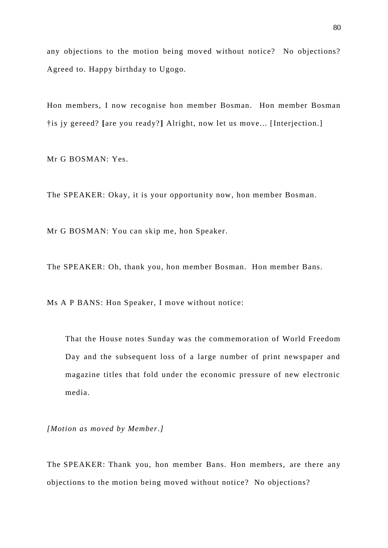any objections to the motion being moved without notice? No objections? Agreed to. Happy birthday to Ugogo.

Hon members, I now recognise hon member Bosman. Hon member Bosman †is jy gereed? **[**are you ready? **]** Alright, now let us move... [Interjection.]

Mr G BOSMAN: Yes.

The SPEAKER: Okay, it is your opportunity now, hon member Bosman.

Mr G BOSMAN: You can skip me, hon Speaker.

The SPEAKER: Oh, thank you, hon member Bosman. Hon member Bans.

Ms A P BANS: Hon Speaker, I move without notice:

That the House notes Sunday was the commemoration of World Freedom Day and the subsequent loss of a large number of print newspaper and magazine titles that fold under the economic pressure of new electronic media.

*[Motion as moved by Member.]* 

The SPEAKER: Thank you, hon member Bans. Hon members, are there any objections to the motion being moved without notice? No objections?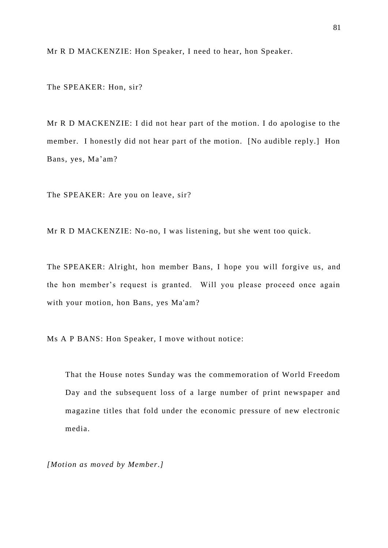Mr R D MACKENZIE: Hon Speaker, I need to hear, hon Speaker.

The SPEAKER: Hon, sir?

Mr R D MACKENZIE: I did not hear part of the motion. I do apologise to the member. I honestly did not hear part of the motion. [No audible reply.] Hon Bans, yes, Ma'am?

The SPEAKER: Are you on leave, sir?

Mr R D MACKENZIE: No-no, I was listening, but she went too quick.

The SPEAKER: Alright, hon member Bans, I hope you will forgive us, and the hon member's request is granted. Will you please proceed once again with your motion, hon Bans, yes Ma'am?

Ms A P BANS: Hon Speaker, I move without notice:

That the House notes Sunday was the commemoration of World Freedom Day and the subsequent loss of a large number of print newspaper and magazine titles that fold under the economic pressure of new electronic media.

*[Motion as moved by Member.]*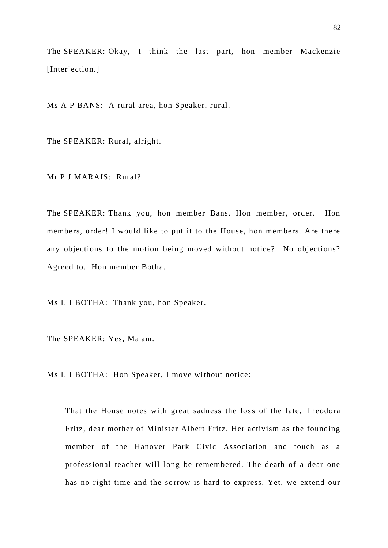The SPEAKER: Okay, I think the last part, hon member Mackenzie [Interjection.]

Ms A P BANS: A rural area, hon Speaker, rural.

The SPEAKER: Rural, alright.

Mr P J MARAIS: Rural?

The SPEAKER: Thank you, hon member Bans. Hon member, order. Hon members, order! I would like to put it to the House, hon members. Are there any objections to the motion being moved without notice? No objections? Agreed to. Hon member Botha.

Ms L J BOTHA: Thank you, hon Speaker.

The SPEAKER: Yes, Ma'am.

Ms L J BOTHA: Hon Speaker, I move without notice:

That the House notes with great sadness the loss of the late, Theodora Fritz, dear mother of Minister Albert Fritz. Her activism as the founding member of the Hanover Park Civic Association and touch as a professional teacher will long be remembered. The death of a dear one has no right time and the sorrow is hard to express. Yet, we extend our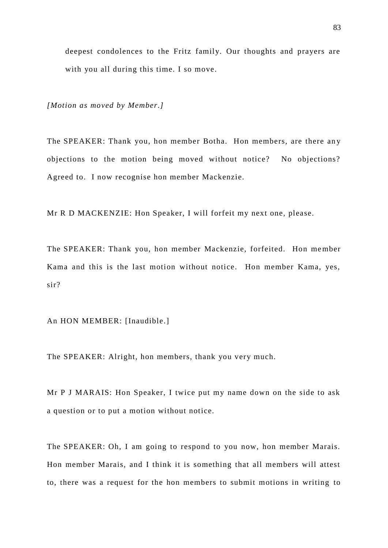deepest condolences to the Fritz family. Our thoughts and prayers are with you all during this time. I so move.

*[Motion as moved by Member.]* 

The SPEAKER: Thank you, hon member Botha. Hon members, are there an y objections to the motion being moved without notice? No objections? Agreed to. I now recognise hon member Mackenzie.

Mr R D MACKENZIE: Hon Speaker, I will forfeit my next one, please.

The SPEAKER: Thank you, hon member Mackenzie, forfeited. Hon member Kama and this is the last motion without notice. Hon member Kama, yes, sir?

An HON MEMBER: [Inaudible.]

The SPEAKER: Alright, hon members, thank you very much.

Mr P J MARAIS: Hon Speaker, I twice put my name down on the side to ask a question or to put a motion without notice.

The SPEAKER: Oh, I am going to respond to you now, hon member Marais. Hon member Marais, and I think it is something that all members will attest to, there was a request for the hon members to submit motions in writing to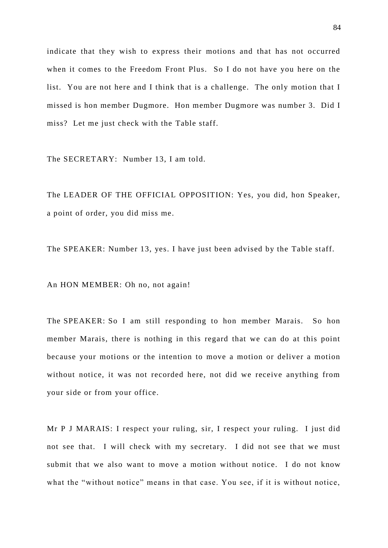indicate that they wish to express their motions and that has not occurred when it comes to the Freedom Front Plus. So I do not have you here on the list. You are not here and I think that is a challenge. The only motion that I missed is hon member Dugmore. Hon member Dugmore was number 3. Did I miss? Let me just check with the Table staff.

The SECRETARY: Number 13, I am told.

The LEADER OF THE OFFICIAL OPPOSITION: Yes, you did, hon Speaker, a point of order, you did miss me.

The SPEAKER: Number 13, yes. I have just been advised by the Table staff.

An HON MEMBER: Oh no, not again!

The SPEAKER: So I am still responding to hon member Marais. So hon member Marais, there is nothing in this regard that we can do at this point because your motions or the intention to move a motion or deliver a motion without notice, it was not recorded here, not did we receive anything from your side or from your office.

Mr P J MARAIS: I respect your ruling, sir, I respect your ruling. I just did not see that. I will check with my secretary. I did not see that we must submit that we also want to move a motion without notice. I do not know what the "without notice" means in that case. You see, if it is without notice,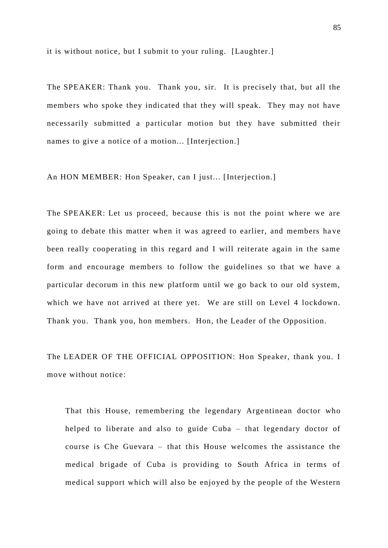it is without notice, but I submit to your ruling. [Laughter.]

The SPEAKER: Thank you. Thank you, sir. It is precisely that, but all the members who spoke they indicated that they will speak. They may not have necessarily submitted a particular motion but they have submitted their names to give a notice of a motion... [Interjection.]

An HON MEMBER: Hon Speaker, can I just... [Interjection.]

The SPEAKER: Let us proceed, because this is not the point where we are going to debate this matter when it was agreed to earlier, and members ha ve been really cooperating in this regard and I will reiterate again in the same form and encourage members to follow the guidelines so that we have a particular decorum in this new platform until we go back to our old system, which we have not arrived at there yet. We are still on Level 4 lockdown. Thank you. Thank you, hon members. Hon, the Leader of the Opposition.

The LEADER OF THE OFFICIAL OPPOSITION: Hon Speaker, thank you. I move without notice:

That this House, remembering the legendary Argentinean doctor who helped to liberate and also to guide Cuba – that legendary doctor of course is Che Guevara – that this House welcomes the assistance the medical brigade of Cuba is providing to South Africa in terms of medical support which will also be enjoyed by the people of the Western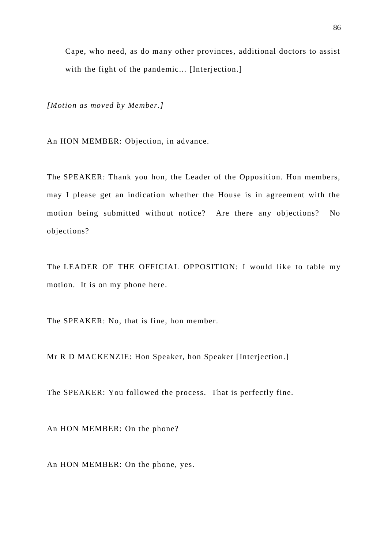Cape, who need, as do many other provinces, additional doctors to assist with the fight of the pandemic... [Interjection.]

*[Motion as moved by Member.]* 

An HON MEMBER: Objection, in advance.

The SPEAKER: Thank you hon, the Leader of the Opposition. Hon members, may I please get an indication whether the House is in agreement with the motion being submitted without notice? Are there any objections? No objections?

The LEADER OF THE OFFICIAL OPPOSITION: I would like to table my motion. It is on my phone here.

The SPEAKER: No, that is fine, hon member.

Mr R D MACKENZIE: Hon Speaker, hon Speaker [Interjection.]

The SPEAKER: You followed the process. That is perfectly fine.

An HON MEMBER: On the phone?

An HON MEMBER: On the phone, yes.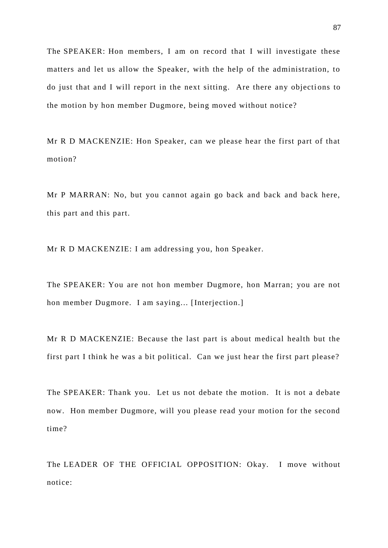The SPEAKER: Hon members, I am on record that I will investigate these matters and let us allow the Speaker, with the help of the administration, to do just that and I will report in the next sitting. Are there any objections to the motion by hon member Dugmore, being moved without notice?

Mr R D MACKENZIE: Hon Speaker, can we please hear the first part of that motion?

Mr P MARRAN: No, but you cannot again go back and back and back here, this part and this part.

Mr R D MACKENZIE: I am addressing you, hon Speaker.

The SPEAKER: You are not hon member Dugmore, hon Marran; you are not hon member Dugmore. I am saying... [Interjection.]

Mr R D MACKENZIE: Because the last part is about medical health but the first part I think he was a bit political. Can we just hear the first part please?

The SPEAKER: Thank you. Let us not debate the motion. It is not a debate now. Hon member Dugmore, will you please read your motion for the second time?

The LEADER OF THE OFFICIAL OPPOSITION: Okay. I move without notice: